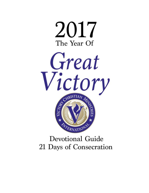



# **Devotional Guide** 21 Days of Consecration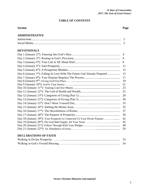# **TABLE OF CONTENTS**

# **Section Page**

# **ADMINISTRATIVE**

# **DEVOTIONALS**

|                                                                                         | 4  |
|-----------------------------------------------------------------------------------------|----|
|                                                                                         | 6  |
|                                                                                         | 8  |
|                                                                                         | 11 |
|                                                                                         | 13 |
| Day 6 (January 7 <sup>th</sup> ): Falling In Love With The Future God Already Prepared  | 15 |
|                                                                                         | 17 |
|                                                                                         | 19 |
|                                                                                         | 21 |
|                                                                                         | 23 |
|                                                                                         | 25 |
|                                                                                         | 28 |
|                                                                                         | 30 |
|                                                                                         | 33 |
|                                                                                         | 35 |
|                                                                                         | 37 |
|                                                                                         | 39 |
| Day 18 (January 19 <sup>th</sup> ): Your Prosperity Is Connected To Your Divine Purpose | 42 |
|                                                                                         | 45 |
|                                                                                         | 48 |
|                                                                                         | 50 |
|                                                                                         |    |

# **DECLARATIONS OF FAITH**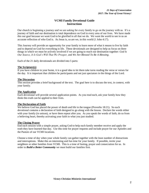# **VCMI Family Devotional Guide Instructions**

Our church is beginning a journey and we are asking for every family to go on the journey with us. It's a journey of faith and our destination is total dependence on God in every area of our lives. We have made this our goal because we want God to be glorified in all that we do. We want the world to see in us an accurate reflection of who God is. As Jesus is, so are we, in this world (1 John 4:17).

This Journey will provide an opportunity for your family to learn more of what it means to live by faith and to depend on God for everything in life. These devotionals are designed to help us focus on three things in which we must be actively involved if we are going to reach our destination together: *God Is Our Source, It Is God's Will That We Prosper,* and *We Are Blessed To Be A Blessing*.

Each of the 21 daily devotionals are divided into 5 parts:

#### **The Scripture(s)**

If you have children in your home, it is a good idea to let them take turns reading the verse or verses for the day. It is important that children be participants and not just spectators in the things of the Lord.

#### **The Discussion**

This section provides a brief background of the text. The goal here is to discuss the text, in context, with your family.

#### **The Application**

Each devotional will provide several application points. As you read each, ask your family how they think this truth can be applied to their lives.

#### **The Declaration of Faith**

We believe God has placed the power of death and life in the tongue (Proverbs 18:21). So each devotional contains a declaration of faith designed to go along with the lesson. Declare the words either with your family (in unison), or have them repeat after you. As you speak the words of faith, do so from a believing heart, thereby activating your faith in what you just studied.

#### **The Closing Prayer**

End each session with a simple prayer, asking God to help each family member receive and apply the truth they have learned that day. Use this time for prayer requests and include prayer for our Apostles and the Pastors of our VCMI locations.

Choose a time of day when your whole family can gather together with the least number of distractions and interruptions. Make this an interesting and fun time for your family. If possible, invite your neighbors or other families from VCMI. This is a time of fasting, prayer and consecration for us. In order to *Build a Better Community* we must build our families first.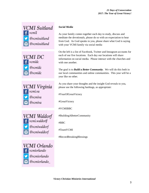









# *Social Media*

As your family comes together each day to study, discuss and meditate the devotionals, please do so with an expectation to hear from God. As God speaks to you, please share what God is saying with your VCMI family via social media

On the left is a list of Facebook, Twitter and Instagram accounts for each of our five locations. Each day our locations will share information on social media. Please interact with the churches and with one another

The goal is to *Build a Better Community*. We will do this both in our local communities and online communities. This year will be a year like no other.

As you share your thoughts and the insight God reveals to you, please use the following hashtags, as appropriate:

#YearOfGreatVictory

#GreatVictory

#VCMIBBC

#BuildingABetterCommunity

#BBC

#TeamVCMI

#RecordBreakingBlessings

*Victory Christian Ministries International*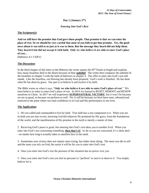# Day 1 (January 2<sup>nd</sup>)

# *Entering Into God's Rest*

#### **The Scripture(s):**

**And we still have the promise that God gave those people. That promise is that we can enter his place of rest. So we should be very careful that none of you fails to get that promise. Yes, the good news about it was told to us just as it was to them. But the message they heard did not help them. They heard it but did not accept it with faith. Only we who believe it are able to enter God's place of rest...** 

(Hebrews 4:1-3 ERV)

### **The Discussion:**

In the third chapter of this letter to the Hebrews the writer quotes the  $95<sup>th</sup>$  Psalm at length and explains how many Israelites died in the desert because of their **unbelief**. The writer then compares the unbelief of the Israelites in chapter 3 with the faith of believers in chapter 4. The offer to enter into God's rest still stands. Like the Israelites, our blessing has already been prepared. God's work is finished. He has done what He has done by grace. Our part is to believe it and receive it by faith.

The Bible warns us when it says, "**Only we who believe it are able to enter God's place of rest**." We must believe in order to enter God's place of rest. In 2016 we learned to RESET, REBOOT and RENEW ourselves in Christ. In 2017 we will experience **SUPERNATURAL VICTORY**, but it won't be because we are so good, or because we perform so well. No, it will be because we have been reset, rebooted and renewed to the point where our total confidence is in God and His performance in our lives.

#### **The Application:**

1. We are called and commanded to live by faith. True faith has a rest component to it. When you are in-faith you are also in-rest, knowing God did whatever He promised by His grace, from the foundations of the world, and the manifestation of His promise in the earth is merely a matter of time.

2. Receiving God's peace is great, but entering into God's rest takes you to another level. When you enter into God's rest concerning something, **then that's it!** As far as you are concerned, it's a done deal - - no matter how long it actually takes to manifest here in the earth.

3. Sometimes your victory does not require more trying, but rather more dying. The more you die to self and the more you rely on God, the easier it will be for you to enter into God's rest.

4. Once you enter into God's rest the pressure of the situation has no power over you.

5. Once you enter into God's rest you feel no pressure to "perform" to earn it or deserve it. You simply believe for it.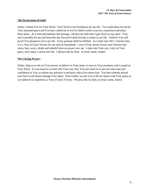# **The Declaration of Faith:**

Father, I thank You for Your Word. Your Word is the foundation for my life. You made plans for me by Your unearned grace and You have called me to live by faith in order to access, experience and enjoy those plans. As I read and meditate this passage, I declare by faith that it gets down in my spirit. Your rest is possible for me and from this day forward it shall become a reality in my life. I believe You will do all You planned to do in my life. Every promise shall be fulfilled. As I enter into 2017, I declare that it is a Year of Great Victory for me and my household. I rest in Your divine victory and I declare that stress, fear, worry, doubt and unbelief have no power over me. I enter into Your rest, I rely on Your grace, and I enjoy a stress-free life. I declare this by faith. In Jesus' name, Amen!

### **The Closing Prayer:**

Father, help us to rely on Your power, to believe in Your name, to trust in Your promises, and to stand on Your Word. As you teach us to enter into Your rest, may You also teach us to put our total trust and confidence in You, to release any pressure to perform, and to live stress-free. You have already placed your love in our hearts through Your Spirit. Now Father, we ask You to fill our hearts with Your peace as we endeavor to experience a Year of Great Victory. We pray this by faith, in Jesus' name, Amen!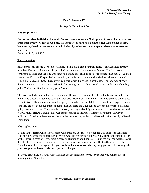# **Day 2 (January 3 rd)**

# *Resting In God's Provision*

# **The Scripture(s):**

**God rested after he finished his work. So everyone who enters God's place of rest will also have rest from their own work just as God did. So let us try as hard as we can to enter God's place of rest. We must try hard so that none of us will be lost by following the example of those who refused to obey God.**

(Hebrews 4:10, 11 ERV)

# **The Discussion:**

In Deuteronomy 1:8 the Lord said to Moses, "**See, I have given you this land**." The Lord had already promised Canaan to Abraham 440 years before He made this statement to Moses. The Lord even forewarned Moses that the land was inhabited during his '*burning bush*' experience in Exodus 3. So it's a shame that 10 of the 12 spies lacked the ability to believe and receive what God had already provided. When the Lord said, "**See, I have given you this land**," He spoke in past tense. The land was already theirs. As far as God was concerned He had already given it to them. But because of their unbelief they put a "**No**" where God had already put a "**Yes**".

The writer of Hebrews explains it very plainly. He said the nation of Israel had the Gospel preached to them. The Gospel, or good news, in this case was that the land was theirs. These people had been slaves all their lives. They had never owned property. But when the Lord delivered them from Egypt, He made sure they did not come out empty handed. The Lord had the Egyptians to give the newly freed Israelites gold, silver and clothes. They were born slaves, but they walked Egypt free and rich. And now the Lord was GIVING THEM Canaan. This was land promised to their forefathers to give them. However, millions of Israelites missed out on the promise because they failed to believe what God already believed about them.

# **The Application:**

1. The Father rested when He was done with creation. Jesus rested when He was done with salvation. God now gives you the opportunity to rest in what He has already done for you. Rest in the finished work of the Father in creation -- you were created in His image and likeness. Rest in the finished work of Jesus the Christ on the cross -- you are saved from the power and penalty of sin. Rest in the grace God has given for your divine assignment -- **you are here for a reason and everything you need to accomplish your assignment has already been prepared for you**.

2. If you can't SEE (by faith) what God has already stored up for you (by grace), you run the risk of missing out on God's best.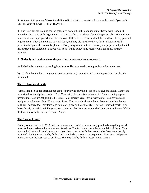3. Without faith you won't have the ability to SEE what God wants to do in your life, and if you can't SEE IT, you will never BE IT or HAVE IT!

4. The Israelites did nothing for the gold, silver or clothes they walked out of Egypt with. God just moved on the hearts of the Egyptians to GIVE it to them. God was also willing to simply GIVE millions of acres of land to people who had been slaves all their lives. This was land the Lord had already planned to give them. They did not have to work for it, but they did have to believe for it. Likewise, God's provision for your life is already planned. Everything you need to maximize your purpose and potential has already been stored up. But you will need faith to believe and receive what grace has already provided.

# 5. **God only casts vision where the provision has already been prepared**.

a) If God tells you to do something it is because He has already made provisions for its success.

b) The fact that God is telling you to do it is evidence (in and of itself) that His provision has already been made.

### **The Declaration of Faith:**

Father, I thank You for teaching me about Your divine provision. Since You give me vision, I know the provision has already been made. If it's Your will, I know it is also Your bill. You are not *going* to prepare me. You are not *going* to bless me. You already have. It's already done. You have already equipped me for everything You expect of me. Your grace is already there. So now I declare that my faith will be there too! My faith taps into Your grace as I learn to REST In Your Finished Work! You have already provided and this year, 2017, I declare that Your provision shall be manifested in my life! I declare this by faith. In Jesus' name. Amen.

# **The Closing Prayer:**

Father, as You lead us in 2017, help us to remember that You have already provided everything we will ever need to experience divine success. We thank You for having provided us the faith of Jesus. You prepared all we would need by grace and you then gave us the faith to access what You have already provided. So Father we live by faith, that it may be by grace that we experience Your best. Help us to make this year the best year of our lives. We pray this by faith, in Jesus' name, Amen!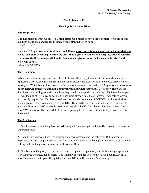**Day 3 (January 4 th)**

*Your Life Is All About Him!*

#### **The Scripture(s):**

**God has made us what we are. In Christ Jesus, God made us new people so that we would spend our lives doing the good things he had already planned for us to do.** (Eph 2:10 ERV).

Jesus said, "**Any of you who want to be my follower must stop thinking about yourself and what you want. You must be willing to carry the cross that is given to you for following me. Any of you who try to save the life you have will lose it. But you who give up your life for me and for the Good News will save it**." (Mark 8:34,35 ERV).

### **The Discussion:**

When Jesus was speaking to a crowd of His followers He already knew what Paul would later write in Ephesians 2:10. Jesus knew that He and the Father already had plans for each and every person He was looking at. Which is why Jesus could confidently look out at a crowd and say, "**Any of you who want to be my follower must stop thinking about yourself and what you want**." Jesus knew His plans for their lives were much greater than anything they could come up with on their own. He knew the people He was looking at were already destined. They were already called to greatness. Their path to victory was already mapped out. But Jesus also knew that in order for them to RECEIVE the victory God had already prepared they were going to have to DIE. They had to die to self and selfishness. They had to give their lives as a sacrifice in order to receive true life - the life God planned for them to live. Guess what? What was true that day, while Jesus was speaking to the crowd, is true this day as you read this devotional.

#### **The Application:**

1. God has never required any less than **ALL** of you! He wants you to die, so He is free to live in, with and through you.

2. Long before you were born God planned your final outcome and the path to it. But in order to experience the life God planned you must first have a relationship with the planner and you must then be willing to die to the plans you came up with without Him.

3. God is not looking for you to work for or earn His plan. His plan for your life is already mapped out. He called you by grace, not by merit. God is simply looking for you to believe His goodness, receive what He wants to do in your life by faith, and then DIE to self so you don't mess it up!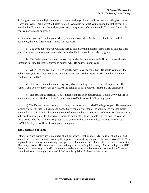4. Religion puts the spotlight on man and it requires things of man, as if man were working hard to earn God's approval. This is why God hates religion. God does not want you to spend the rest of your life working for His approval. Jesus already earned your approval. Once you are in Christ and Christ is in you, you are already approved.

5. God wants you to get to the point where you realize your life is SO MUCH about Jesus and NOT about you, that you finally REST in His finished work.

a) God does not want you working hard to attain anything in Him. Jesus already attained it for you. God simply wants you to receive by faith what He has already provided by grace.

b) The Father does not want you working hard to become someone in Him. You are already someone in Him. He just wants you to believe what He believes about you!

c) When God looks at you He sees you the way He called you. Now He wants you to get the point where you see it too! Not based on your works, but based on Jesus' works. Not based on your goodness, but on His!

d) God does not want you entering every day attempting to work to earn His approval. The Father wants you to enter every day FROM the position of His approval. There is a big difference!

e) Stop striving to perform. God is not looking for your performance. This is why your life is not about you at all. God is looking for your death, so He is free to LIVE through you!

f) The Father does not want you to live your life striving to MAKE things happen. He wants you to simply discern what He has already done. Once you do, you then get to walk in His finished work. If you think you can MAKE it happen without God, then you have made Jesus irrelevant. He does not want to be irrelevant in your life. He actually wants to be the star. When people read the book of your life Jesus wants to be the star on every page! So as you enter this day, do so determined to MAKE GOD FAMOUS! If you do, He will make your name great!

# **The Declaration of Faith:**

Father, I declare that my life is no longer about me or my selfish desires. My life is all about You and Your desires for me. I am not working FOR grace. I am working BY grace. I am not striving FOR Your approval. I enter every day knowing I am approved. I am Your child. I am called for such a time as this. This is my season. This is my time. I am no longer the star of my life's story. And since I glorify THEE Father, You can now glorify ME! I am committed to making You famous, and because I am, You are committed to making my name great! I declare this by faith. In Jesus' name. Amen.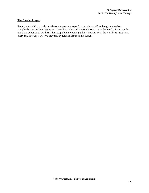#### **The Closing Prayer:**

Father, we ask You to help us release the pressure to perform, to die to self, and to give ourselves completely over to You. We want You to live IN us and THROUGH us. May the words of our mouths and the meditation of our hearts be acceptable in your sight daily, Father. May the world see Jesus in us everyday, in every way. We pray this by faith, in Jesus' name, Amen!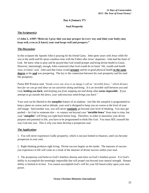# **Day 4 (January 5 th)**

*Soul Prosperity*

# **The Scripture(s):**

# **(3 John 2, AMP) "Beloved, I pray that you may prosper in every way and [that your body] may keep well, even as [I know] your soul keeps well and prospers."**

# **The Discussion:**

In this scripture the Apostle John is praying for his friend Gaius. John spent years with Jesus while He was in the earth and He spent countless time with the Father after Jesus' departure. John had the heart of God. He knew what to pray and he prayed that God would prosper and bring divine health to Gaius. However, interestingly enough, John connected what God would do in Gaius' life, wealth and health wise, to Gaius' soul. John said that Gaius would **prosper** and be in good physical health **to the same degree** as his **soul** was prospering. The key is the connection between his soul prosperity and his total life prosperity.

Pastor Bill Winston said, "*Inside every one of us is an image I call an "invisible fence," which dictates how far we can go and what we see ourselves doing and being. It is an invisible wall between you and God, holding you back, and keeping you from stepping out and doing what seems impossible. If you attempt to go outside this fence, your subconscious mind brings you back*."

Your soul can be likened to the **autopilot** feature of an airplane. Just like the autopilot is programmed to keep a plane on course and at altitude, your soul is designed to keep you on course at the level of your self-image. Said another way, you will never **routinely** go beyond your level of thinking. You may get pushed -- by God or someone else -- to venture out beyond your "**invisible fence**" from time to time, but your "**autopilot**" will bring you right back before long. Therefore, in order to maximize your divine purpose and potential in life, you have to be programmed to think like God. You must SEE yourself the way God sees you. This is why you must develop a prosperous soul.

# **The Application:**

1. You will never experience Godly prosperity, which is not just limited to finances, until you become prosperous in your soul.

2. Right thinking produces right living. Divine success begins on the inside. The measure of success you experience in life will come as a result of the measure of divine success within your soul.

3. The prosperous soul believes God's limitless dreams and relies on God's limitless power. It is God's ability to accomplish the seemingly impossible that will propel you beyond your natural strength. Human ability is limited at its best. You cannot accomplish God's will for your life based solely upon your own power.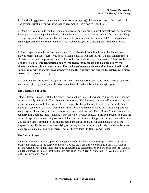4. You should **not** have a limited view of success (or prosperity). Ultimate success in the kingdom of God covers everything you will ever need to accomplish God's best for your life.

5. Don't fool yourself into thinking you are succeeding on your own. Many times believers get confused, thinking they are accomplishing things without the grace of God. Grace can be described as God adding His super to your natural, causing the supernatural to occur in your life. James said, "**Every good and perfect gift comes from above**" (James 1:17). Acknowledge God's blessing and thank God for His grace.

6. The prosperous soul loves God, not money. If you give God first-place in your life, He will see to it that you receive all the resources you need to accomplish His will in the earth. But it is dangerous for a Christian to put material prosperity ahead of his or her spiritual maturity. Paul warned, "**But people who long to be rich fall into temptation and are trapped by many foolish and harmful desires that plunge them into ruin and destruction. For the love of money is the root of all kinds of evil. And some people, craving money, have wandered from the true faith and pierced themselves with many sorrows**" (1 Tim 6:9,10 NLT).

7. God wants you to succeed (prosper) in life. You were not born to fail. God wants you to trust in His love, to accept His plan for your life, to pursue it by faith, and to rely on His strength (grace).

# **The Declaration of Faith:**

Father, I know it is Your will that I prosper. I was not born to fail. I was born to succeed. However, my success can only be found in Your divine purpose for my life. I make a concerted effort to submit to the process of mind-renewal. It is my intention to purposely change the way I think to line up with Your thinking. I see myself the way You see me. I think of my future the way You do. I align my plans with Your purpose. I take every limit off, because You are a limitless God. Once I factor You in, I can factor out every limit, because there is nothing You cannot do. I pursue success in life by pursuing You, and the success I experience is total life prosperity. I don't pursue money or things, I pursue You, and when I do, You see to it that everything I need pursues me! I am confident that I will accomplish Your divine purpose for my life, because I am not relying on me, my ability or my strength. My confidence is in You, Your dedication to me, and Your grace. I declare this by faith. In Jesus' name. Amen.

# **The Closing Prayer:**

Father, as we endeavor to prosper and to enjoy divine health, help us get to the point where our soul is prospering. Help us to see ourselves the way You see us. Speak us to concerning Your will. Give us insight, wisdom, revelation, knowledge and understanding concerning Your plans and purposes. Help us to align ourselves with Your best, so that we may experience Great Victory in 2017. We pray this by faith, in Jesus' name, Amen!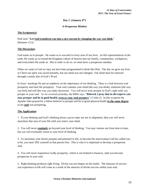# **Day 5 (January 6 th)**

# *A Prosperous Mindset*

### **The Scripture(s):**

Paul said, "**Let God transform you into a new person by changing the way you think**." (Romans 12:2).

# **The Discussion:**

God wants us to prosper. He wants us to succeed in every area of our lives. As His representatives in the earth, He wants us to extend the Kingdom culture of heaven into our family, communities, workplaces, and everywhere He sends us. But in order to do so, we must have a prosperous mindset.

When we came to God we may not have been programmed to think like Him. The day we gave our lives to Christ our spirit was saved instantly, but our mind was not changed. Our mind must be renewed through a steady diet of God's Word.

In Jesus' teachings He put an emphasis on the importance of our thinking. There is a link between soul prosperity and total life prosperity. Your soul contains your mind (the way you think), emotions (the way you feel) and will (the way you make decisions). You will never truly prosper in God's sight until you prosper in your soul. As we covered yesterday, the Bible says, "**Beloved, I pray that in all respects you may prosper and be in good health, even as your soul prospers**" (3 John 2). In this scripture the Apostle John prayed for a fellow believer to prosper and be in good physical health **to the same degree** as his **soul** was prospering.

# **The Application:**

1. If your thinking and God's thinking about a given topic are not in alignment, then you will never maximize that area of your life until you renew your mind.

2. You will never **routinely** go beyond your level of thinking. You may venture out from time to time, but you will eventually return to your level of thinking.

3. To maximize your divine purpose and potential in life, to become the man/woman God has called you to be, you must SEE yourself as that person first. This is why it is important to develop a prosperous soul.

4. You will never experience Godly prosperity, which is not limited to finances, until you become prosperous in your soul.

5. Right thinking produces right living. Divine success begins on the inside. The measure of success you experience in life will come as a result of the measure of divine success within your soul.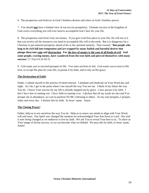6. The prosperous soul believes in God's limitless dreams and relies on God's limitless power.

7. You should **not** have a limited view of success (or prosperity). Ultimate success in the kingdom of God covers everything you will ever need to accomplish God's best for your life.

8. The prosperous soul loves God, not money. If you give God first-place in your life, He will see to it that you receive all the resources you need to accomplish His will in the earth. But it is dangerous for a Christian to put material prosperity ahead of his or her spiritual maturity. Paul warned, "**But people who long to be rich fall into temptation and are trapped by many foolish and harmful desires that plunge them into ruin and destruction. For the love of money is the root of all kinds of evil. And some people, craving money, have wandered from the true faith and pierced themselves with many sorrows**" (1 Tim 6:9,10 NLT).

9. God wants you to succeed (prosper) in life. You were not born to fail. God wants you to trust in His love, to accept His plan for your life, to pursue it by faith, and to rely on His grace.

# **The Declaration of Faith:**

Father, I submit myself to the process of mind renewal. I meditate and medicate on Your Word day and night. As I do, I get to the point where I see myself the way You see me. I think of my future the way You do. I know Your success for my life is already mapped out by grace. I now pursue it by faith. I don't have fear in running out. I have faith in running over. I declare that all my needs are met and You prosper me in abundance, so I am in position TO BE a blessing to others. As my soul prospers, I prosper, today and every day. I declare this by faith. In Jesus' name. Amen.

#### **The Closing Prayer:**

Father, help us to see ourselves the way You do. Help us to renew our minds to align with Your Word, will and ways. Our Spirit *was* changed the moment we acknowledged Your Son Jesus as Lord. Our soul is now *being* changed as we endeavor to live by faith. We ask You to reveal Your best to us. To show us Your image of divine success, so we can become what we behold. We pray this by faith, in Jesus' name, Amen!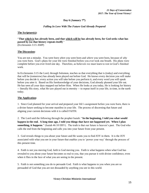# **Day 6 (January 7 th)**

# *Falling In Love With The Future God Already Prepared*

#### **The Scripture(s):**

#### "**That which is has already been, and that which will be has already been, for God seeks what has passed by [so that history repeats itself]**." (Ecclesiastes 3:15 AMP)

#### **The Discussion:**

You are not a mistake. You were born *when* you were born and *where* you were born, because of *why* you were born. God's plans for your life were finished before you ever took one breath. His plans were complete before you ever lived one day. Therefore, as believers we must learn to rest in God's finished work.

In Ecclesiastes 3:15 the Lord, through Solomon, teaches us that everything that is (today) and everything that will be (tomorrow) has already been played out before God. He knows every decision you will make before you decide it, every action you will take before you perform it, and every word you will speak before you utter it. Based on His foreknowledge of your decisions, God already planned your life out. He has seen all your days mapped out before Him. When He looks at you today, He is looking for history -- literally His story, what He saw played out in eternity -- to repeat itself in your life, in time, in the earth today.

# **The Application:**

1. Since God planned for your arrival and prepared your life's assignment before you were born, there is a divine future seeking to become manifest in your life. The process of discerning that future and aligning your current decisions with it is called FAITH.

2. The Lord said the following through the prophet Isaiah: "**In the beginning, I told you what would happen in the end. A long time ago, I told you things that have not happened yet. When I plan something, it happens**." (Isaiah 46:10 ERV). The truth is that our future is heaven's past. The God who calls the end from the beginning and calls you into your future from your present.

3. God reveals things to you about your future and He wants you to find JOY in them. It is the JOY associated with what you see in your future that enables you to 'power your way' through the process of this present time.

4. Faith is not you moving God, faith is God moving you. Faith is what happens when what God has revealed to you about your future becomes so real to you, that you pursue it with divine confidence, even when it flies in the face of what you are seeing in the present.

5. Faith is not something you do to persuade God. Faith is what happens to you when you are so persuaded of God that you are not dissuaded by anything you see in this world.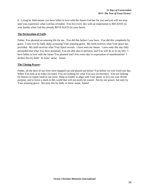6. Living by faith means you have fallen in love with the future God has for you and you will not stop until you experience what God has revealed. You live every day with an expectation to RECEIVE (in your hands) what God has already REVEALED (in your heart).

# **The Declaration of Faith:**

Father, You planned an amazing life for me. You did this before I was born. You did this completely by grace. I now live by faith, daily accessing Your amazing grace. My faith receives what Your grace has provided. My faith receives what Your Spirit reveals. I have seen my future. I now enter this day fully persuaded that what You have promised, You are able also to perform, and You will do so in my life! I have fallen in love with the future You planned and I live every day in expectation of manifestation! I declare this by faith! In Jesus' name. Amen.

# **The Closing Prayer:**

Father, all the days of our lives were mapped out and played out before You before we ever lived one day. When You look at us today (in time), You are looking for what You saw (in eternity). You are looking for history to repeat itself in our lives. Help us Father to align with Your plans, to live out your divine purpose, and to leave a mark in this world that will not easily be erased. Not by our power, but only by Your amazing grace. We pray this by faith, in Jesus' name, Amen!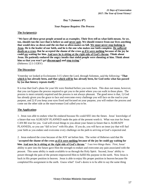# **Day 7 (January 8 th)**

# *Your Purpose Requires The Process*

#### **The Scripture(s):**

"**We have all these great people around us as examples. Their lives tell us what faith means. So we, too, should run the race that is before us and never quit. We should remove from our lives anything that would slow us down and the sin that so often makes us fall. We must never stop looking to Jesus. He is the leader of our faith, and he is the one who makes our faith complete. He suffered death on a cross. But he accepted the shame of the cross as if it were nothing because of the joy he could see waiting for him. And now he is sitting at the right side of God's throne. Think about Jesus. He patiently endured the angry insults that sinful people were shouting at him. Think about him so that you won't get discouraged and stop trying**." (Hebrews 12:1-3 ERV)

# **The Discussion:**

Yesterday we looked at Ecclesiastes 3:15 where the Lord, through Solomon, said the following: "**That which is has already been, and that which will be has already been, for God seeks what has passed by [so that history repeats itself]**."

It is true that God's plans for your life were finished before you were born. This does not mean, however, that you can bypass the process required to get you to the point where you can walk in those plans. The process is most certainly required and the process is not always pleasant. The good news is that, 1) God has already given you the grace to face and overcome every challenge you will face on the road to your purpose, and 2) If you keep your eyes fixed and focused on your purpose, you will endure the process and come out the other side as the man/woman God called you to be.

# **The Application:**

1. Jesus was able to endure what He endured because He could SEE into the future. Jesus' knowledge of a future that was ALREADY PLANNED made the pain of the present worth it. What was true for Jesus CAN BE true for you. God will reveal things to you about your future (a future that is ALREADY PLANNED), so you can "fall in love" with His plan. If you do, you will have an inner joy that will fuel your faith as you endure and overcome every challenge on the path to arriving at God's expected end.

2. Jesus endured the cross because of the JOY set before him. The writer of Hebrews said that He "**accepted the shame of the cross as if it were nothing because of the joy he could see waiting for him. And now he is sitting at the right side of God's throne**." I see two things there. First, Jesus' ability to peer into the future gave Him the strength to endure and overcome any pain associated with the present. This same ability is made available to us through the Holy Spirit. Second, Jesus' ability to power-through the pain of the present empowered Him to fulfill His purpose in the earth. Now Jesus is back in His proper position in heaven. Jesus is able to enjoy His proper position in heaven because He completed His assignment in the earth. Guess what? God's desire is to be able to say the same thing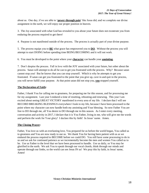about us. One day, if we are able to '**power-through pain**' like Jesus did, and we complete our divine assignment in the earth, we will enjoy our proper position in heaven.

3. The Joy associated with what God has revealed to you about your future does not exonerate you from enduring the process required to get there!

4. Purpose is not manifested outside of the process. The process is actually part of your divine purpose.

5. The process equips you to **BE** what grace has empowered you to **DO**. Without the process you will attempt to start DOING before spending time BEING/BECOMING and it will not work.

6. You must be developed to the point where your **character** can handle your **anointing**.

7. Don't despise the process. Fall in love with the JOY associated with your future, but sober about the process. Satan will attempt to do all he can to get you frustrated with the process. Why? Because satan cannot stop you! But he knows that you can stop yourself. Which is why he attempts to get you frustrated. If satan can get you frustrated to the point that you give up, cave in and quit in the process, you will never fulfill your purpose. At that point satan did not stop you, **you** stopped yourself.

# **The Declaration of Faith:**

Father, I thank You for calling me to greatness, for preparing me for this season, and for processing me for my assignment. Last year I endured a time of resetting, rebooting and renewing. This year I am excited about seeing GREAT VICTORY manifested in every area of my life. I declare that I will see RECORD BREAKING BLESSINGS everywhere I look in my life, because I have been processed to the point where my character can now handle both my anointing and Your blessing. So now Father You are free to DO through me, all You desire to DO through me in this season. As I enter every meeting, conversation and activity in 2017, I declare that it is You Father, living in me, who will give me the words and perform the work for Your glory! I declare this by faith! In Jesus' name. Amen.

# **The Closing Prayer:**

Father, You love us with an everlasting love, You prepared for us before the world began, You called us to greatness and You are now ready to use us. We thank You for having been patient with us as we endured the process required to BECOME before we could DO. You still have some processing to do in us and we ask for continued patience as we incrementally become the men and women You called us to be. Use us Father to the level that we have been processed to handle. Use us daily, so You may be glorified in the earth. We ask You to speak through our vocal chords, think through our minds and operate through our limbs, so the world can see Jesus IN us! We pray this by faith, in Jesus' name, Amen!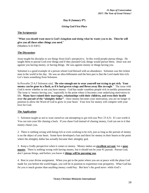# **Day 8 (January 9 th)**

# *Giving God First Place*

#### **The Scripture(s):**

"**What you should want most is God's kingdom and doing what he wants you to do. Then he will give you all these other things you need**."

(Matthew 6:33 ERV)

### **The Discussion:**

Jesus taught his disciples to see things from God's perspective. In this world people pursue things. He taught them to pursue God over things and if they pursued God, things would pursue them. Jesus was not against you having money, or having things. He was against money or things having you.

Solomon is a good example of a person whom God blessed with an abundance. Solomon was the richest man in the world in his day. He was an ultra-billionaire and the best part is that the Lord made him rich. Let's learn something from Solomon.

In Proverbs 23:4,5 Solomon said, "**Be wise enough not to wear yourself out trying to get rich. Your money can be gone in a flash, as if it had grown wings and flown away like an eagle**." The issue with God is never whether or not you have money. God has made countless people rich in earthly possessions. The issue is 'money having you,' especially to the point where it becomes your underlying motivation in life. **Many have ruined their marriages, relationships with their children, and even their health over the pursuit of the "almighty dollar"**. Once money becomes your motivation, you are no longer in position to allow the Word of God to grow in your heart. Your love for money will compete with your love for God.

#### **The Application:**

1. Solomon taught us not to wear ourselves out attempting to get rich (see Prov 23:4,5). It's not worth it. You can ruin your life chasing a buck. If you chase God instead of chasing money, God can see to it that money chases you.

2. There is nothing wrong with being rich or even working to be rich, just as long as the pursuit of money is no the object of your heart. Some have developed a lust and thirst for money in their hearts to the point where the almighty dollar has actually become their almighty god.

3. Keep a Godly perspective when it comes to money. Money makes an **excellent servant**, but a **poor master**. There is nothing wrong with having money, but it should not be your #1 pursuit. Pursue God, don't pursue things, and before you know it **things will be pursuing you**.

4. Rest in your divine assignment. When you get to the point where you are at peace with the plans God made for you before the world began, you will be in position to experience true prosperity. What God has for you is much greater than anything money could buy. But here's the good news: while God's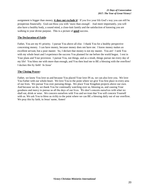assignment is bigger than money, **it does not exclude it**! If you live your life God's way you can still be prosperous financially. God can bless you with 'more than enough'. And more importantly, you will also have a healthy body, a sound mind, a close-knit family and the satisfaction of knowing you are walking in your divine purpose. This is a picture of **good** success.

# **The Declaration of Faith:**

Father, You are my #1 priority. I pursue You above all else. I thank You for a healthy perspective concerning money. I can have money, because money does not have me. I know money makes an excellent servant, but a poor master. So, I declare that money is not my master. You are! I seek You with my whole heart and I experience the success You planned for me before the world began. I rest in Your plans and Your provision. I pursue You, not things, and as a result, things pursue me every day of my life! You bless me with more than enough, and You then lead me to BE a blessing with the overflow! I declare this by faith! In Jesus'

### **The Closing Prayer:**

Father, we know You love us and because You placed Your love IN us, we can also love you. We love You Father with our whole-heart. We love You to the point where we give You first place in every area of our lives. We pursue You over pursuing things. We place Your Kingdom projects above our own. And because we do, we thank You for continually watching over us, blessing us, and causing Your goodness and mercy to pursue us all the days of our lives. We don't concern ourselves with what we shall eat, drink or wear. We concern ourselves with You and we trust that You will concern Yourself with us. We ask You to bless us richly to the point where we can BE a blessing daily out of our overflow. We pray this by faith, in Jesus' name, Amen!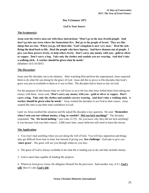# **Day 9 (January 10th)**

*God Is Your Source*

#### **The Scripture(s):**

**Jesus sent the twelve men out with these instructions: "Don't go to the non-Jewish people. And don't go into any town where the Samaritans live. But go to the people of Israel. They are like sheep that are lost. When you go, tell them this: 'God's kingdom is now very near.' Heal the sick. Bring the dead back to life. Heal the people who have leprosy. And force demons out of people. I give you these powers freely, so help others freely. Don't carry any money with you—gold or silver or copper. Don't carry a bag. Take only the clothes and sandals you are wearing. And don't take a walking stick. A worker should be given what he needs.**" (Matthew 10:5-10 ERV)

#### **The Discussion:**

Jesus sent His disciples out to do ministry. After watching Him perform the supernatural, Jesus expected them to do what He was doing by the grace of God. Jesus did this to prove to His disciples that God's grace was just as available to them as it was to Him. The disciples had to learn to rely on God.

For the purposes of this lesson what we will focus in on is the fact that Jesus forbid them from taking any money with them. Jesus said, "**Don't carry any money with you—gold or silver or copper. Don't carry a bag. Take only the clothes and sandals you are wearing. And don't take a walking stick. A worker should be given what he needs.**" Jesus wanted the disciples to see God as their source. Jesus wanted His men to put their total confidence in God.

Later on, Jesus recalled this situation and He asked His disciples a key question. He said, "**Remember when I sent you out without money, a bag, or sandals? Did you lack anything?**" The disciples responded, "**No**. **We laced nothing**." (see Luke 22:35). Do you know why they did not lack anything? It was because God was their source! 2,000 years later, many believers still need to learn this lesson.

#### **The Application:**

1. You won't lack anything when you are doing the will of God. You will face opposition and things may get difficult from time to time, but instead of giving you '**less challenge**', God opts to give you '**more grace**'. His grace will see you through whatever you face.

2. The grace of God is always available to do what He is leading you to do; and that includes money.

3. God is more than capable of funding His projects.

4. Wherever God gives vision, He obligates Himself for the provision. Said another way, if it's **God's will**, then it's also **God's bill**.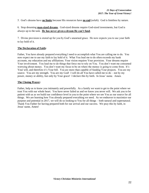5. God's dreams have **no limits** because His resources have **no end** (*selah*). God is limitless by nature.

6. Stop dreaming **man-sized dreams**. God-sized dreams require God-sized investments, but God is always up to the task. **He has never given a dream He can't fund**.

7. Divine provision is stored up for you by God's unearned grace. He now expects you to use your faith to lay hold of it.

# **The Declaration of Faith:**

Father, You have already prepared everything I need to accomplish what You are calling me to do. You now expect me to use my faith to lay hold of it. What You lead me to do often exceeds my bank accounts, my education and my affiliations. Your vision requires Your provision. Your dreams require Your involvement. You lead me to do things that force me to rely on You. You don't want me consumed worrying about money. You don't want my focus to be on where the money is going to come from. It's Your will, and therefore it's Your bill. You are more than capable of funding Your projects. You are my source. You are my strength. You are my God! I will do all You have called me to do – not by my power, money or ability, but only by Your grace! I declare this by faith. In Jesus' name. Amen.

# **The Closing Prayer:**

Father, help us to know you intimately and powerfully. As a family we want to get to the point where we trust You with our whole heart. You have never failed us and we know you never will. We ask you to be patient with us as we build our confidence level in you to the point where we see You as our source for all things. We are learning how You already prepared everything we need. As we endeavor to maximize our purpose and potential in 2017, we will do so looking to You for all things – both natural and supernatural. Thank You Father for having prepared both for our arrival and our success. We pray this by faith, in Jesus' name, Amen!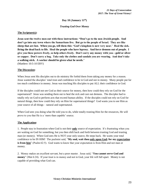# **Day 10 (January 11 th)**

# *Trusting God Over Money*

#### **The Scripture(s):**

**Jesus sent the twelve men out with these instructions: "Don't go to the non-Jewish people. And don't go into any town where the Samaritans live. But go to the people of Israel. They are like sheep that are lost. When you go, tell them this: 'God's kingdom is now very near.' Heal the sick. Bring the dead back to life. Heal the people who have leprosy. And force demons out of people. I give you these powers freely, so help others freely. Don't carry any money with you—gold or silver or copper. Don't carry a bag. Take only the clothes and sandals you are wearing. And don't take a walking stick. A worker should be given what he needs.**" (Matthew 10:5-10 ERV)

### **The Discussion:**

When Jesus sent His disciples out to do ministry He forbid them from taking any money for a reason. Jesus wanted the disciples' total trust and confidence to be in God and not in money. Many people put far too much confidence in money. Jesus was teaching His disciples to put ALL their confidence in God.

If the disciples could not see God as their source for money, then how could they rely on God for the supernatural? Jesus was sending them out to heal the sick and cast out demons. The disciples had to totally rely on God to perform acts that exceed human ability. If the disciples could not rely on God for natural things, then how could they rely on Him for supernatural things? God wants you to see Him as your source of all things – natural and supernatural.

When God sees you doing what He told you to do, while totally trusting Him for the resources, He will prove to you that He is a 'more than capable' source.

# **The Application:**

1. People stay in frustration when God is not their **only** source of expectation. It's frustrating when you are waiting on God for something, but you then shift back and forth between trusting God and trusting man (or money). When God sees He is NOT your only source, He steps back. He wants your total confidence to be IN HIM! The psalmist said, "**My soul, wait thou only upon God; for my expectation is from him**" (Psalm 62:5). God wants to know that your expectation is from Him and not man or money.

2. Money makes an excellent servant, but a poor master. Jesus said, "**You cannot serve God and money**" (Mat 6:24). If your trust is in money and not in God, your life will fall apart. Money is not capable of providing what God can.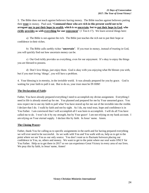3. The Bible does not teach against believers having money. The Bible teaches against believers putting their **trust** in money. Paul said, "**Command those who are rich in this present world not to be arrogant nor to put their hope in wealth, which is so uncertain, but to put their hope in God, who richly** provides us with everything for our enjoyment" (1 Tim 6:17). We learn several things here:

a) The Bible is not against the rich. The Bible just teaches the rich not to put their hope or confidence in their riches.

b) The Bible calls earthly riches "**uncertain**". If you trust in money, instead of trusting in God, you will quickly find out how uncertain money can be.

c) Our God richly provides us everything, even for our enjoyment. It's okay to enjoy the things you are blessed to possess.

d) Don't love things, just enjoy them. God is okay with you enjoying what He blesses you with, but if you start loving 'things', you will have a problem.

4. Your blessing is in eternity, in the invisible world. It was already prepared for you by grace. God is waiting for your faith to pull it out. But to do so, your trust must be IN HIM!

### **The Declaration of Faith:**

Father, You have already prepared everything I need to accomplish my divine assignment. Everything I need in life is already stored up for me. You planned and prepared for me by Your unearned grace. You now expect me to use my faith to pull what You have stored up for me out of the invisible into the visible. I declare that I do. I walk by faith and not by sight. As I do, my total trust, hope and confidence is in You Father. I am convinced that I will accomplish all I was born to accomplish. I will do all You have called me to do. I won't do it by my strength, but by Your grace! I am not relying on my bank account. I am relying on Your eternal supply. I declare this by faith. In Jesus' name. Amen.

# **The Closing Prayer:**

Father, thank You for calling us to specific assignments in the earth and for having prepared everything we will ever need to be successful. As we walk with You and You walk with us, help us to get to the point where we see You as our only source. You don't want us to fluctuate between placing our confidence in You, us, others and money. We want to get to the point where our soul waits ONLY for You Father. Help us to get there in 2017 so we can experience Great Victory in every area of our lives. We pray this by faith, in Jesus' name, Amen!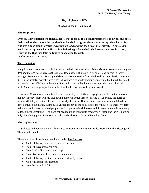# **Day 11 (January 12 th)**

### *The God of Health and Wealth*

#### **The Scripture(s):**

**Even so, I have noticed one thing, at least, that is good. It is good for people to eat, drink, and enjoy their work under the sun during the short life God has given them, and to accept their lot in life. And it is a good thing to receive wealth from God and the good health to enjoy it. To enjoy your work and accept your lot in life—this is indeed a gift from God. God keeps such people so busy enjoying life that they take no time to brood over the past.** (Ecclesiastes 5:18-20 NLT).

#### **The Discussion:**

King Solomon was a man who had access to both divine wealth and divine wisdom. We can learn a great deal about grace-based success through his teachings. Let's focus in on something he said in today's passage. Solomon said, "**It is a good thing to receive wealth from God and the good health to enjoy it**." Unfortunately, many believers have developed a misunderstanding concerning God's will for health and wealth. At VCMI we believe it is God's will that we live long and strong (with good physical health), and that we prosper financially. Our God is not against health or wealth.

Sometimes Christians have confused clear issues. If you ask the average person if it is better to have or not have money, most will say that having money is better than not having it. Likewise, the average person will tell you that it is better to be healthy than sick. But for some reason, some church leaders have confused the matter. Some have vilified money to the point where they think it is somehow "**holy**" to be poor and others have told people that God put certain sicknesses and diseases on them in an attempt to teach them something. God does not need to make you sick to teach you a lesson and there is nothing holy about being poor. Poverty is actually under the curse Jesus delivered us from.

#### **The Application:**

1. Sickness and poverty are NOT blessings. In Deuteronomy 28 Moses describes both The Blessing and The Curse in detail.

These are some of the things mentioned under **The Blessing**:

- God will bless you in the city and in the field.
- You will have many children.
- Your land will produce good crops.
- Your livestock will reproduce in abundance.
- God will bless you at all times in everything you do.
- God will defeat your enemies.
- Your barns will be full.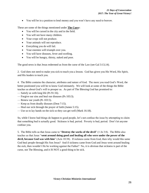You will be in a position to lend money and you won't have any need to borrow.

These are some of the things mentioned under **The Curs**e:

- You will be cursed in the city and in the field.
- You will not have many children.
- Your crops will not produce.
- Your animals will not reproduce.
- Everything you do will fail.
- Your enemies will triumph over you.
- You will have diseases, fever and swelling.
- You will be hungry, thirsty, naked and poor.

The good news is that Jesus redeemed us from the curse of the Law (see Gal 3:13,14).

2. God does not need to make you sick to teach you a lesson. God has given you His Word, His Spirit, and His leaders to teach you.

4. The Bible contains the character, attributes and nature of God. The more you read God's Word, the better positioned you will be to know God intimately. We will look at some of the things the Bible teaches us about God's will to prosper us. As part of The Blessing God has promised to:

- Satisfy us with long life (Ps 91:16).
- Forgive our sins and heal our diseases (Ps 103:3).
- Renew our youth (Ps 103:5).
- Keep us from deadly diseases (Deut 7:15).
- Heal our sick through the prayer of faith (James 5:15).
- Use us to lay hands on the sick so they can get well (Mark 16:18).

So, while I know bad things do happen to good people, let's not confuse the issue by attempting to claim that something bad is actually good. Sickness is bad, period. Poverty is bad, period. Don't let anyone confuse you.

5. The Bible tells us that Jesus came to "**Destroy the works of the devil**" (1 Jn 3:8). The Bible also teaches us that Jesus "**went around doing good and healing all who were under the power of the devil, because God was with him**" (Acts 10:38). If sickness came from God, then why would this same God heal people through His Son Jesus? And if sickness came from God and Jesus went around healing the sick, then wouldn't He be working against the Father? No, it is obvious that sickness is part of the curse, not The Blessing, and it IS NOT a good thing to be sick.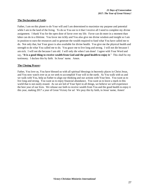# **The Declaration of Faith:**

Father, I am on this planet to do Your will and I am determined to maximize my purpose and potential while I am in the land of the living. To do so You see to it that I receive all I need to complete my divine assignment. I thank You for the open door of favor over my life. Favor can do more in a moment than labor can do in a lifetime. You favor me richly and You also give me divine wisdom and insight so I am in position to earn the resources and to generate the wealth required to fund what You have called me to do. Not only that, but Your grace is also available for divine health. You give me the physical health and strength to do what You called me to do. You grace me to live long and strong. I will not die because I am sick. I will not die because I am old. I will only die when I am done! I agree with Your Word and say, "**It is a good thing to receive wealth from God and the good health to enjoy it**." This shall be my testimony. I declare this by faith. In Jesus' name. Amen.

### **The Closing Prayer:**

Father, You love us, You have blessed us with all spiritual blessings in heavenly places in Christ Jesus, and You now watch over us as we seek to accomplish Your will in the earth. As You walk with us and we walk with You, help us Father to align our thinking and our actions with Your best. You want us to live long and strong. You want us to enjoy financial abundance. You want us to leave a mark in this world that is not easily erased. As we are led of Your Spirt in all things, we believe we will experience the best year of our lives. We release our faith to receive wealth from You and the good health to enjoy it this year, making 2017 a year of Great Victory for us! We pray this by faith, in Jesus' name, Amen!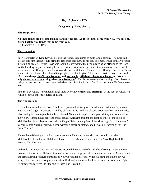# **Day 12 (January 13 th)**

*Categories of Giving (Part 1)*

#### **The Scripture(s):**

# **All these things didn't come from me and my people. All these things come from you. We are only giving back to you things that came from you.**

(1 Chronicles 29:14 ERV)

#### **The Discussion:**

In 1st Chronicles 29 King David collected the resources required to build God's temple. The Lord had already told him that he would bring the resources together and his son, Solomon, would actually oversee the building project. While David was looking at everything the people gave as an offering to the Lord for the building project, he saw gold, silver, bronze, iron, wood, precious stones in many colors, marble, and many other offerings. David was overwhelmed with the magnitude of the offering. But the king also knew that God Himself had blessed the people to be able to give. This caused David to say to the Lord, "**All these things didn't come from me and my people. All these things come from you. We are only giving back to you things that came from you**." This is the essence of our giving. God blesses us richly and we then get to participate in the blessing of giving back to God from the things He freely gave to us.

In today's devotion, we will take a high-level overview of **tithes** and **offerings**. In the next devotion, we will look at two other categories of giving.

#### **The Application:**

1. Abraham was a blessed man. The Lord's promised blessing was on Abraham. Abraham's journey with the Lord began in Genesis 12 and by chapter 13 the Lord had already made Abraham rich in cattle, silver and gold. In chapter 14 the Lord blessed Abraham to experience a great victory and as a result of the victory Abraham had access to many *spoils*. Abraham brought one tenth (a tithe) of the spoils to Melchizedek. Melchizedek was both the king of Salem and a priest of the Most High God. Hebrews 7 teaches us that Melchizedek was a man without a father or mother, and he was a perpetual priest, like Jesus Himself.

Although the Blessing of the Lord was already on Abraham, when Abraham brought the tithe Melchizedek blessed him. Melchizedek received the tithe and as a priest of the Most High God, He released The Blessing.

In the Old Testament the Levitical Priests received the tithe and released The Blessing. Under the new Covenant, the writer of Hebrews teaches us that Jesus is a perpetual priest after the order of Melchizedek and Jesus Himself receives our tithes as New Covenant believers. When we bring the tithe today we bring it into the church, we present it before God, and we release the tithe to Jesus. Jesus, as our High Priest forever, receives the tithe and releases The Blessing.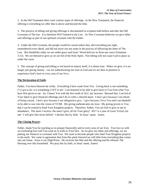2. In the Old Testament there were various types of offerings. In the New Testament, the financial offering is everything we offer that is above and beyond the tithe.

3. The practice of tithing and giving offerings is documented in scripture both before and after the Old Covenant of The law. It is therefore NOT limited to the Law. As New Covenant believers we give tithes and offerings as part of our spiritual covenant with the Father.

4. Under the Old Covenant, the people would be cursed unless they did everything just right, remembered every detail, and did not leave out any steps in the process of following the letter of The Law. But thankfully today we are under grace and Jesus' blood delivers us from any curse (Galatians 3:13). We are blessed to give as we are led of the Holy Spirit. Not tithing will not cause God to place us under the curse.

5. The concept of giving and tithing is not based on money itself, it is about trust. When we give, it is no longer just giving money—we are authenticating our trust in God and we are then in position to experience God's best in every area of our lives.

# **The Declaration of Faith:**

Father, You have blessed me richly. Everything I have came from You. Giving back is not something I've got to do, it is something I GET to do! I am honored to be able to give back to You from what You have first given to me. So, I honor You with the first tenth of ALL my increase. Beyond that, I am led of Your Spirit to give financial offerings and I do so with a cheerful heart. I don't give because I am afraid of being cursed. I don't give because I am obligated to give. I give because I love You and I am thankful to be able to sow into the vision of VCMI. My giving authenticates my trust. My giving proves to You that I can be trusted to fund Your Kingdom projects. Therefore, Father, You are free to give to me in abundance. The more I receive, the more I give, all for Your glory! 2017 is a year of Great Victory for me! I will give like never before! I declare this by faith. In Jesus' name. Amen.

# **The Closing Prayer:**

Father, thank You for teaching us to prosper financially and in every area of our lives. You love us with an everlasting love and You want us to walk in Your best. As we give our tithes and offerings, we are putting our finances in covenant with You. We want to become people who fund Your Kingdom projects in the earth. We come in agreement that from this point forward we will tithe from everything that comes into our home. Jesus is our High Priest. He receives the tithe and the offering and He releases The blessing over this household. We pray this by faith, in Jesus' name, Amen!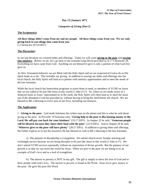# **Day 13 (January 16 th)**

*Categories of Giving (Part 2)*

#### **The Scripture(s):**

**All these things didn't come from me and my people. All these things come from you. We are only giving back to you things that came from you.** 

(1 Chronicles 29:14 ERV)

### **The Discussion:**

In our last devotion we covered tithes and offerings. Today we will cover **giving to the poor** and **sowing into ministry**. Before we do, let's go back to the reminder king David provided us in  $1<sup>st</sup>$  Chronicles 29. Everything we have came from God. Anything we are blessed to give is only a portion of what God first gave us.

As New Testament believers we are filled with the Holy Spirit and we are expected of God to do as His Spirit leads us to do. This includes our giving. In addition to sowing our tithes and offerings into the local church, the Holy Spirit will lead us to partner with ministry opportunities and to meet the needs of the less fortunate.

While the local church has benevolent programs to assist those in need, as members of VCMI we know that we are called to be just like Jesus in this world (1 John 4:17). So, when we are made aware of a financial need, as Jesus' representatives in the earth, the Holy Spirit will often lead us to meet the need, out of the abundance God has provided us, without having to bring the need before the church. We are blessed to BE a blessing in every area of our lives, including our finances.

# **The Application:**

1. **Giving to the poor**. God made Solomon the richest man on the planet and this is what he said about giving to the poor. In Proverbs 19 Solomon said, "**Giving help to the poor is like loaning money to the Lord. He will pay you back for your kindness**" (19:17 ERV). In chapter 22 he said, "**Generous people will be blessed, because they share their food with the poor**" (22:9 ERV). And in chapter 28 he said, "**Whoever gives to the poor will have plenty**" (28:27 ERV). In addition to giving tithes and offerings, the Father expects us to use the resources He has blessed us with to BE a blessing to the less fortunate.

a) The purpose of discipleship is evangelism. We attend church every Sunday morning and weeknight service because we are being disciples to be just like Jesus in this world (1 John 4:17). We don't attend VCMI services repeatedly without an expectation of divine growth. But the purpose of our growth is so that we can reach the world for Jesus. When we give to the poor we are doing so as an example of God's love and as a tool of evangelism.

b) The answer to poverty is NOT in any gift. The gift is simply to show the love of God and to draw people with God's love. The answer to poverty is found in the Word. Jesus never gave money to the poor. He gave the poor His Word.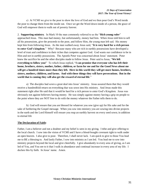c) At VCMI we give to the poor to show the love of God and we then pour God's Word inside the poor to change them from the inside out. Once we get the Word down inside of a person, the grace of God will empower them to walk out of poverty forever.

2. **Supporting ministry**. In Mark 10 the man commonly referred to as the "**Rich young ruler**" approached Jesus. This man had money, but unfortunately, money had him. When Jesus told him to sell all his possessions, give the proceeds to the poor, and follow Him, the young man left sad. His money kept him from following Jesus. As the man walked away Jesus said, "**It is very hard for a rich person to enter God's kingdom**." Why? Because many who are rich in earthly possessions have developed a level of trust and confidence in their riches that competes against God. God wants our confidence to be in Him and not in earthly possessions. The Apostle Peter was concerned about Jesus' statement. Peter knew the sacrifice he and the other disciples made to follow Jesus. Peter said to Jesus, "**We left everything to follow you!**" To which Jesus replied, "**I can promise that everyone who has left their home, brothers, sisters, mother, father, children, or farm for me and for the Good News about me will get a hundred times more than they left. Here in this world they will get more homes, brothers, sisters, mothers, children, and farms. And with these things they will have persecutions. But in the world that is coming they will also get the reward of eternal life**."

a) The disciples had sown a great deal into Jesus' ministry. Jesus assured them that they would receive a hundredfold return on everything that was sown into His ministry. And Jesus made this statement right after He said that it would be hard for a rich person to enter God's Kingdom. Jesus was obviously not against believers having money. He was simply against money having a grip on people to the point where they are NOT free to do with the money whatever the Father tells them to do.

b) God will ensure that you are blessed for whatever you sow (give up) for His sake and for the sake of furthering the Gospel message. When you sow into ministry you are sowing into divine projects in the earth and the Lord Himself will ensure you reap an earthly harvest on every seed sown; in addition to eternal life

# **The Declaration of Faith:**

Father, I am a believer and not a doubter and my belief is seen in my giving. I tithe and give offering to the local church. I sow into the vision of VCMI and I have a blood-bought covenant right to walk under an open heaven. I also give to poor. Therefore, I shall never lack. I am quick to give to those You lead me to BE a blessing to. And lastly Father, I sow into ministry as I am led. You lead me to sow into ministry projects beyond the local and give cheerfully. I give abundantly in every area of giving, as I am led of You, and You see to it that I walk in abundance and continual increase in every area of my life. I declare this by faith. In Jesus' name. Amen.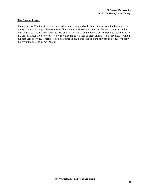#### **The Closing Prayer:**

Father, I thank You for birthing in us a desire to want to give back. You give us both the desire and the ability to BE a blessing. The more we walk with You and You walk with us, the more we grow in the area of giving. We ask you Father to lead us in 2017 to give on the level that we expect to receive. 2017 is a year of Great Victory for us. Help us to also make it a year of great giving. We believe 2017 will be our best year of living. Therefore, help us Father to make this year be our best year of giving! We pray this by faith, in Jesus' name, Amen!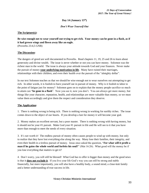# **Day 14 (January 15 th)**

*Don't Wear Yourself Out*

#### **The Scripture(s):**

**Be wise enough not to wear yourself out trying to get rich. Your money can be gone in a flash, as if it had grown wings and flown away like an eagle.** 

(Proverbs 23:4,5 GNB)

# **The Discussion:**

The dangers of greed are well documented in Proverbs. Read chapters 11, 19, 25 and 26 to learn about generosity and divine wealth. The issue is never whether or not you can have money. Solomon was the richest man in the world. The issue is always your attitude towards God and your finances. Never make the pursuit of money **your underlying motivation in life**. Many have ruined their marriages, relationships with their children, and even their health over the pursuit of the "almighty dollar".

In our text Solomon teaches us that we should be wise enough not to wear ourselves out attempting to get rich. In other words, it is foolish to burn yourself out in pursuit of money. Why is it foolish to labor to the point of fatigue just for money? Solomon goes on to explain that the money people sacrifice so much to attain can "**be gone in a flash**". Now you see it, now you don't. You can always get more money, but things like your character, reputation, health, and relationships are more valuable than money, so we must value them accordingly and give them the respect and consideration they deserve.

# **The Application:**

1. There is nothing wrong in being rich. There is nothing wrong in working for earthly riches. The issue comes down to the object of our hearts. If you develop a lust for money it will become your god.

2. Money makes an excellent servant, but a poor master. There is nothing wrong with having money, but it should not be your #1 pursuit. Make God your #1 pursuit in life and He will see to it that you have more than enough to meet the needs of every situation.

3. It's not worth it! The endless pursuit of money often causes people to wind up with money, but only to realize that they have lost everything else along the way. Many lose their families, their integrity, and even their health in a tireless pursuit of money. Jesus once asked the question, "**For what will it profit a man if he gains the whole world and forfeits his soul?**" (Mat 16:26). What good will the money be if you lose everything that matters to get it?

4. Don't worry, you will still be blessed! What God has to offer is bigger than money and the good news is that it **does not exclude it**. If you live your life God's way you can still be strong and stable financially, but more importantly, you will also have a healthy body, a sound mind, a close-knit family and a better understanding of true success in life.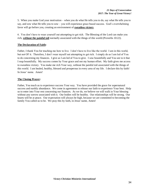5. When you make God your motivation – when you do what He tells you to do, say what He tells you to say, and sow what He tells you to sow – you will experience grace based success. God's overwhelming favor will go before you, creating an environment of **sweatless victory**.

6. You don't have to wear yourself out attempting to get rich. The Blessing of the Lord can make you rich, **without the painful toil** normally associated with the things of this world (Proverbs 10:22).

### **The Declaration of Faith:**

Father, I thank You for teaching me how to live. I don't have to live like the world. I am in this world, but not OF it. Therefore, I don't wear myself out attempting to get rich. I simply do as I am led of You to do concerning my finances. I give as I am led of You to give. I sow bountifully and You see to it that I reap bountifully. My success comes by Your grace and not my human effort. My faith gives me access to sweatless victory. You make me rich Your way, without the painful toil associated with the things of this world. I am healed, healthy, blessed and prosperous in every area of my life. I declare this by faith! In Jesus' name. Amen!

# **The Closing Prayer:**

Father, You teach us to experience success Your way. You have provided the grace for supernatural success and earthly abundance. We come in agreement to release our faith to experience Your best. Help us to enter into Your rest concerning our finances. As we do, we believe we will walk in Your blessing without any sorrow associated with it. Our bodies will be healthy. Our relationships will be strong. Our hearts will be at peace. Our expectation will always be high, because we are committed to becoming the family You called us to be. We pray this by faith, in Jesus' name, Amen!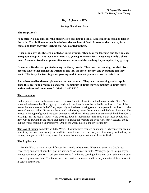**Day 15 (January 16 th)**

*Settling The Money Issue*

#### **The Scripture(s):**

"**The farmer is like someone who plants God's teaching in people. Sometimes the teaching falls on the path. That is like some people who hear the teaching of God. As soon as they hear it, Satan comes and takes away the teaching that was planted in them.**

**Other people are like the seed planted on rocky ground. They hear the teaching, and they quickly and gladly accept it. But they don't allow it to go deep into their lives. They keep it only a short time. As soon as trouble or persecution comes because of the teaching they accepted, they give up.**

**Others are like the seed planted among the thorny weeds. They hear the teaching, but their lives become full of other things: the worries of this life, the love of money, and everything else they want. This keeps the teaching from growing, and it does not produce a crop in their lives.**

**And others are like the seed planted on the good ground. They hear the teaching and accept it. Then they grow and produce a good crop—sometimes 30 times more, sometimes 60 times more, and sometimes 100 times more**." (Mark 4:13-20 ERV)

### **The Discussion:**

In this parable Jesus teaches us to receive His Word and to allow it be settled in our hearts. God's Word is settled in heaven, but if it is going to produce in our lives, it must be settled in our hearts. One of the issues that competes with the Word, especially as it relates to being settled or at peace in our hearts, is the issue of money. When discussing the ground with thorny weeds Jesus mentioned the love of money. The weeds in this type of ground represent competing priorities. These people, as Jesus explained, hear God's teaching. So, the seed of God's Word does get down in their hearts. The issue is that these people also have weeds growing in the hearts that compete against the Word to the point where they actually chokeout the Word, making it unproductive. One of the weeds listed is the love of money.

**The love of money** competes with the Word. If your heart is focused on money, it is because you are not at rest in your heart concerning God and His commitment to provide for you. If you truly see God as your source, then you won't develop a love for money that competes with your love for God.

# **The Application:**

1. For the Word to work in your life your heart needs to be at rest. When you enter into God's rest concerning any area of your life, you are showing God you are in-faith. When you get to this point you are not concerned, you trust God, you know He will make His Word good and you don't take on any care concerning any situation. You know the issue is settled in heaven and it is only a matter of time before it is settled in the earth.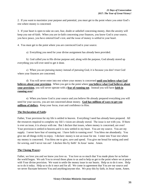2. If you want to maximize your purpose and potential, you must get to the point where you enter God's rest where money is concerned.

3. If your heart is open to take on care, fear, doubt or unbelief concerning money, then the anxiety will keep you out-of-faith. When you are in-faith concerning your finances, you know God is your source, you have peace, you have entered God's rest, and the issue of money is settled in your heart.

4. You must get to the point where you are convinced God is your source.

a) Everything you need for your divine assignment has already been provided.

b) God called you to His divine purpose and, along with the purpose, God already stored up everything you will ever need to get it done.

c) When you are pursuing money instead of pursuing God, it is because you don't trust God where your finances are concerned.

d) You will never enter into rest where your money is concerned **until you believe what God believes about your provision**. When you get to the point where **you believe what God believes about your provision**, you will never operate with a **fear of running out**. Instead you will have **faith in running over**!

e) When you know God is your source and you believe He already prepared everything you will need for your success, you are not concerned about money. **God has millions of ways to get you millions of dollars**. Keep your focus, trust and confidence in Him.

# **The Declaration of Faith:**

Father, Your provision for my life is settled in heaven. Everything I need has already been prepared. All the resources required to complete my life's vision are already stored. The issue is not with you. If there is ever an issue, it is always with me. But I declare that issues, where money is concerned, are over! Your provision is settled in heaven and it is now settled in my heart. You are my source. You are my supply. I never have fear of running out. I have faith in running over! You bless me abundantly. You give me all things richly to enjoy. I declare: money is not an issue for me. I enter into Your rest where my money is concerned. You bless me to give, save and spend. You give me bread for eating and seed for sowing, and I never run out! I declare this by faith! In Jesus' name. Amen.

# **The Closing Prayer:**

Father, we love you and we know you love us. You love us so much that You made plans for us before the world began. We ask You to reveal those plans to us and to help us get to the point where we at peace with Your divine provision. We want to settle the money issue in our hearts. Help us to do it now. Help us to do it today. Help us to do it once and for all. We come in agreement that You are our source and we never fluctuate between You and anything/anyone else. We pray this by faith, in Jesus' name, Amen.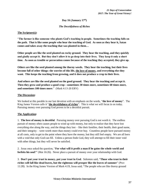# **Day 16 (January 17 th)**

# *The Deceitfulness of Riches*

### **The Scripture(s):**

"**The farmer is like someone who plants God's teaching in people. Sometimes the teaching falls on the path. That is like some people who hear the teaching of God. As soon as they hear it, Satan comes and takes away the teaching that was planted in them…** 

**Other people are like the seed planted on rocky ground. They hear the teaching, and they quickly and gladly accept it. But they don't allow it to go deep into their lives. They keep it only a short time. As soon as trouble or persecution comes because of the teaching they accepted, they give up.**

**Others are like the seed planted among the thorny weeds. They hear the teaching, but their lives become full of other things: the worries of this life, the love of money, and everything else they want. This keeps the teaching from growing, and it does not produce a crop in their lives.**

**And others are like the seed planted on the good ground. They hear the teaching and accept it. Then they grow and produce a good crop—sometimes 30 times more, sometimes 60 times more, and sometimes 100 times more**." (Mark 4:13-20 ERV)

### **The Discussion:**

We looked at this parable in our last devotion with an emphasis on the words, "**the love of money**". The King James Version calls it "**the deceitfulness of riches**". This is what we will focus in on today. Pursuing money over pursuing God proves to be a deceitful pursuit.

# **The Application:**

1. **The love of money is deceitful**. Pursuing money over pursuing God is not worth it. The endless pursuit of money often causes people to wind up with money, but only to realize that they have lost everything else along the way, and the things they lost – like their families, their health, their good name, and their integrity – were worth more than money could ever buy. Countless people have pursued money at all costs, only to get to the point where they have the money, but they still feel empty. We are all born with a void that only God can fill. Unless a person finds God, they will attempt to fill their inner void with other things, but they will never be satisfied.

2. Jesus once asked the question, "**For what will it profit a man if he gains the whole world and forfeits his soul**?" (Mat 16:26). Never place a pursuit of money over your relationship with God.

3. **Don't put your trust in money, put your trust in God**. Solomon said, "**Those who trust in their riches will fall like dead leaves, but the righteous will prosper like the leaves of summer**" (Prov 11:28). In the King James Version of Mark 4:19, Jesus said, "The people who are like thorny ground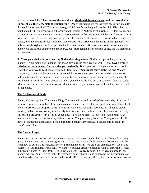receive the Word, but "**The cares of this world, and the deceitfulness of riches, and the lusts of other things, choke the word, making it unfruitful**." One of the definitions for the word "deceitful" includes the word "untrustworthy." This is the message of Solomon's teaching in Proverbs 11:2. His point is a point about trust. Solomon was a billionaire and he taught us **NOT** to trust in riches. He does not cut any corners either. Solomon plainly states that those who trust in their riches will fall like dead leaves. These leaves were once green, full and flourishing. But after a change of season, the leaves dried up, changed colors, died and eventually fell. Solomon then contrasts this image with the image of the righteous. He tells us that the righteous will prosper like the leaves of summer. Because our trust is in God and not in money, we are always connected to the source, our leaves remain green and full of life, and we prosper in all that we do.

4. **Make your choice between serving God and serving money**. God is not opposed to you having money. He just wants you to honor Him above anything He can bless you with. **If you have a proper relationship with money, God can give you loads of it**. But if your trust is in your wealth and not in God, then your wealth has become your god. Jesus said, "**You cannot serve both God and Money**" (Mat 6:24). You can either put your trust in God, honor Him with your finances, and do whatever He tells you to do with the money He places in your hands; or you can pursue money and make money the focal point of your life. If you choose the latter, you will quickly find out that you won't like the results. Money is deceitful. Let money serve you, don't serve it! If you serve it, you will wind up deceived and disappointed.

### **The Declaration of Faith:**

Father, You are my God, You are my King, You are my Lord and I worship You every day of my life. I acknowledge no other god and I call upon no other name. I am led of Your Spirit every day of my life. I live by every Word You speak to me. Living this way, I am not easily deceived. I will not be drawn away by selfish lusts of worldly desires. My heart is pure. My hands are clean. My intentions are holy. My pursuits are divine. My life is all about You! I don't love money, I love You! And because I do, You are able to trust me with earthly riches. I use all You place in my hands for Your glory and I will never be distracted, dissuaded or derailed from the pursuit of my destiny. I declare this by faith! In Jesus' name. Amen.

#### **The Closing Prayer:**

Father, You are our creator and we are Your creation. We know You birthed us into this world to bring glory to Your name. We come in agreement to do so. We stand in faith, believing that we will live the remainder of our days as representatives of heaven in the earth. We are Your ambassadors. We live as examples of Jesus in this world daily. We know You have already blessed us with all spiritual blessings in heavenly places in Christ Jesus. We know Your work is already done. So we have no need to love money, we love You. Help us Father to release every selfish desire and to become the men/women You called us to be. As Jesus is, so are we in this world DAILY! We pray this by faith, in Jesus' name, Amen.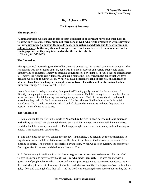# **Day 17 (January 18 th )**

# *The Purpose of Prosperity*

#### **The Scripture(s):**

"**Command those who are rich in this present world not to be arrogant nor to put their hope in wealth, which is so uncertain, but to put their hope in God, who richly provides us with everything for our enjoyment. Command them to do good, to be rich in good deeds, and to be generous and willing to share. In this way they will lay up treasure for themselves as a firm foundation for the coming age, so that they may take hold of the life that is truly life.** (1 Timothy 6:17-19 NIV).

### **The Discussion:**

The Apostle Paul invested a great deal of his time and energy into his spiritual son, Pastor Timothy. This relationship was one of father and son, but it was also one of Apostle and Pastor. Paul would teach Timothy and he expected Timothy to teach his congregation. For example, in Paul's second official letter to Timothy, the Apostle said, "**Timothy, you are a son to me. Be strong in the grace that we have because we belong to Christ Jesus. What you have heard me teach publicly you should teach to others. Share these teachings with people you can trust. Then they will be able to teach others these same things**." (2 Timothy 2:1,2 ERV).

In our focus text for today's devotion, Paul provided Timothy godly counsel for the members of Timothy's congregation who were rich in earthly possessions. Paul did not say the rich members had to leave the church. Paul did not say that having money was evil. Paul did not say the rich had to sell everything they had. No, Paul gave clear council for the believers God has blessed with financial abundance. The Apostle made it clear that God had blessed these members and now they were in a position to BE a blessing to others.

# **The Application:**

1. Paul commanded the rich in this world to "**do good, to be rich in good deeds, and to be generous and willing to share**." He did not tell them to get rid of their money. He did not tell them it was bad. He did not tell them money was wicked. Paul simply taught them to use their money to be a blessing to others. This counsel still stands today.

2. The Bible does not say you cannot have money. In the Bible, God actually goes to great lengths to explain what we should do with the resources He places in our hands. God blesses us, so we can BE a blessing to others. The purpose of prosperity is evangelism. When we use our overflow the proper way, God is glorified in the earth and the lost are drawn to Him.

3. In Deuteronomy 8:10-20 the Lord led Moses to give clear instructions to the nation of Israel. God wanted His people to never forget that **it was Him who made them rich**. God was dealing with a generation of people who were born slaves and He was preparing them to receive His abundance. It was the Lord who got them out of slavery. It was the Lord who saw to it that the Egyptians gave the Israelites gold, silver and clothing before they left. And the Lord was preparing them to receive houses they did not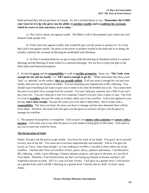build and land they did not purchase in Canaan. So, the Lord had Moses to say, "**Remember the LORD your God, for it is he who gives you the ability to produce wealth, and so confirms his covenant, which he swore to your ancestors, as it is today**."

a) The Lord is clearly not against wealth. The Bible is full of documented cases where the Lord Himself made people rich.

b) If the Lord were against wealth, why would He give you the power to produce it? It is clear that God is not against wealth. He gives us the power to produce wealth in the earth and in so doing, He actually confirms the covenant of blessing He established with Abraham.

c) As New Covenant believers we get to enjoy both the blessing of Abraham (which is a natural blessing) and the blessing of Jesus (which is a spiritual blessing). We are free to enjoy the gifts of the Holy Spirit and financial prosperity.

4. Accept the **grace** and the **responsibility** to walk in **earthly prosperity**. Some say, "**Oh, I only want enough for me and my family**," or "**All I need is enough to get by**." While statements like these seem 'holy' or 'spiritual' on the surface, **they are actually selfish**. If all you want is enough for you and your family, then you are not focused on others. You are shunning your responsivity to BE a blessing. You should want everything God wants to give you in order to do what He birthed you to do. You cannot feed the poor if you don't have enough food for yourself. You can't help pay someone else's bills if you can't pay your own. You can't help put a roof over someone's head if you don't have a place to stay. Our God is a God of **overflow**, because He wants us to bless others out of our overflow. God is not opposed to you having '**more than enough**,' because He wants you to be able to help others. But it comes with a **responsibility**. The more you have, the more you have to manage and the more demands there will be from others. However, the same God who gave you the grace to increase will give you the grace to manage the overflow.

5. The purpose of prosperity is evangelism. God can give you **money with a mission** and **power with a purpose**. God wants you to use what He places in your hands to bring glory to His name. God wants to use you to reach the world for Jesus.

# **The Declaration of Faith:**

Father, You give me the power to get wealth. You favor the work of my hands. You grace me to succeed in every area of my life. You cause me to increase supernaturally and naturally. And as You give me excess, as I have "more than enough", as I am walking in overflow, I am able to bless others out of my overflow. I declare that I have an overflow of love, peace, mercy, patience and money. I am blessed to BE a blessing. I tithe, I give offerings, I finance ministry projects, and I give to the poor, as I am led of Your Spirit. Therefore, Your Word teaches me that I am laying up treasure in heaven and that I will experience heaven on earth. 2017 is a year of Great Victory. I will give on a greater level, I will receive on a greater level, and I will BE a blessing on a greater level. I declare this by faith! In Jesus' name. Amen.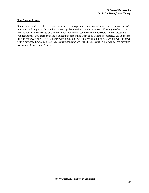#### **The Closing Prayer:**

Father, we ask You to bless us richly, to cause us to experience increase and abundance in every area of our lives, and to give us the wisdom to manage the overflow. We want to BE a blessing to others. We release our faith for 2017 to be a year of overflow for us. We receive the overflow and we release it as you lead us to. You prosper us and You lead us concerning what to do with the prosperity. As you bless us with money, we believe it is money with a mission. As you give us Your power, we believe it is power with a purpose. So, we ask You to bless us indeed and we will BE a blessing in this world. We pray this by faith, in Jesus' name, Amen.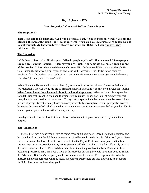# **Day 18 (January 19 th )**

# *Your Prosperity Is Connected To Your Divine Purpose*

#### **The Scripture(s):**

**Then Jesus said to his followers, "And who do you say I am?" Simon Peter answered, "You are the Messiah, the Son of the living God." Jesus answered, "You are blessed, Simon son of Jonah. No one taught you that. My Father in heaven showed you who I am. 18 So I tell you, you are Peter.** (Matthew 16:15-18 ERV)

#### **The Discussion:**

In Matthew 16 Jesus asked His disciples, "**Who do people say I am?**" They answered, "**Some people say you are John the Baptizer. Others say you are Elijah. And some say you are Jeremiah or one of the prophets**." Jesus then asked the men who knew Him the best to tell Him who they thought He was. Simon the fisherman properly identified Jesus as the Messiah. This identification came by revelation from the Father. As a result, Jesus changed the fisherman's name from Simon, which means "unstable", to Peter, which means "rock".

When Simon the fisherman discovered Jesus (by revelation), Jesus then allowed Simon to find himself (by revelation). He was living his life as Simon the fisherman, but he was called to be Peter the Apostle. **When Simon found Jesus he found himself; he found his purpose**. When he found his purpose, he found the **key** that **unlocked the door to prosperity in his life**. When you think of prosperity in this case, don't be quick to think about *money*. To say that prosperity includes money is not **incorrect**, but a picture of prosperity that is solely based on money is woefully **incomplete**. Divine prosperity involves becoming the person God called you to be and completing your divine assignment before you die. This is a much greater purpose than anything money can buy.

In today's devotion we will look at four believers who found true prosperity when they found their purpose.

#### **The Application:**

1. **Peter**. Peter was a fisherman before he found Jesus and his purpose. Once he found his purpose and he started walking in it, he did things he never imagined he would do during his 'fisherman' years. Peter walked on water. God used Peter to heal the sick. On the Day of Pentecost, Peter preached the first sermon after Jesus' resurrection and 3,000 people were added to the church that day, effectively birthing the New Testament church. Peter led the establishment and the growth of the New Testament. Peter became a prosperous man. He lived a life that far exceeded anything he could have ever done as Simon the fisherman. But Peter's prosperity could not be measured in money. Peter's prosperity had to be measured in divine purpose! Once he found his purpose, Peter could tap into everything he needed to fulfill it. The same can be said for you!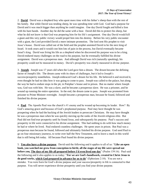2. **David**. David was a shepherd boy who spent more time with his father's sheep than with the rest of his family. But while David was tending sheep, he was spending time with God. God had a purpose for David and it was much bigger than anything he could imagine. One day David fought and killed a lion with his bare hands. Another day he did the same with a bear. David did this to protect his sheep, but what he did not know is that God was preparing him for his life's assignment. One day David would kill a giant and this very public victory would propel him into his destiny. Before his very public encounter with a giant, the Lord provided David a more intimate promotion. The lord sent His prophet to visit Jesse's house. David was called out of the field and the prophet anointed David to be the next king of Israel. It took years and it would cost him lots of pain in the process, but David eventually became Israel's king. David was living his life as a shepherd when he discovered his purpose was to be a king. David endured many challenges on the road to his purpose, but he eventually fulfilled his divine assignment. David was a prosperous man. And although David was rich (naturally speaking), his prosperity could not be measured in money. David's prosperity was clearly measured in divine purpose.

3. **Joseph**. Joseph was 17 years old when the Lord gave him a dream. The dream became the defining factor of Joseph's life. The dream came with its share of challenges, but it led to Joseph's success/prosperity nonetheless. Joseph embraced God's dream for his life. He believed it and received it, even thought he had no idea how it was going to come to pass. Joseph was called to the palace, but along the way he had to endure stops in the pit, in Potiphar's house and in prison. But no matter where Joseph was, God was with him. He was a slave, and he became a prosperous slave. He was a prisoner, and he wound up running the entire operation. In the end, the dream came to pass. Joseph was promoted from prisoner to Prime Minister overnight. Joseph became a prosperous man, because he found, followed and finished his divine purpose.

4. **Paul**. The Apostle Paul was the church's #1 enemy and he wound up becoming its leader. How? By God's amazing grace and because of God's preplanned purpose. Paul may have thought he was prospering when he had the backing of the Jewish leaders to persecute Christians. He may have thought he was a prosperous man when he was quickly moving up the ranks of the Jewish religious elite. But Paul did not find true prosperity until he found Jesus, and subsequently his purpose. Paul's success and prosperity in life were connected to his divine assignment. This had nothing to do with how much money he had or where he lived. Paul endured countless challenges. He spent years in prison. But Paul was a prosperous man because he found, followed and ultimately finished his divine purpose. God used Paul to go on four missionary journeys, to write over half the New Testament, and to leave a mark in this world that is still being felt today. All because Paul found his divine purpose.

5. **You also have a divine purpose**. David said the following and it applies to all of us: "**Like an open book, you watched me grow from conception to birth; all the stages of my life were spread out before you, The days of my life all prepared before I'd even lived one day**" (Psalm 139:16). Paul said the following and it also applies to us today: "**For we are God's handiwork, created in Christ Jesus to do good works, which God prepared in advance for us to do**" (Ephesians 2:10). You are not a mistake. You were born for God's divine purpose and your success/prosperity in life is connected to that purpose. You will never experience divine prosperity until you find your divine purpose.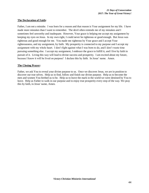# **The Declaration of Faith:**

Father, I am not a mistake. I was born for a reason and that reason is Your assignment for my life. I have made more mistakes than I want to remember. The devil often reminds me of my mistakes and I sometimes feel unworthy and inadequate. However, Your grace is helping me accept my assignment by keeping my eyes on Jesus. In my own right, I could never be righteous or good enough. But Jesus was righteous and good enough for me. You made me righteous by Your grace and I accept Your righteousness, and my assignment, by faith. My prosperity is connected to my purpose and I accept my assignment with my whole heart. I don't fight against what I was born to do, and I don't waste time pursuing something else. I accept my assignment, I embrace the grace to fulfill it, and I live by faith in pursuit of it. Living this way will lead to divine success and prosperity. I am excited about my future, because I know it will be lived on purpose! I declare this by faith. In Jesus' name. Amen.

### **The Closing Prayer:**

Father, we ask You to reveal your divine purpose to us. Once we discover Jesus, we are in position to discover our true selves. Help us to find, follow and finish our divine purpose. Help us to become the men and women You birthed us to be. Help us to leave the mark in the world we were destined by You to leave. Help us Father to walk in our purpose and to enjoy true prosperity every step of the way. We pray this by faith, in Jesus' name, Amen.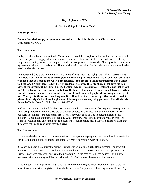# **Day 19 (January 20th )**

### *My God Shall Supply All Your Need*

#### **The Scripture(s):**

**But my God shall supply all your need according to his riches in glory by Christ Jesus.** (Philippians 4:19 KJV)

### **The Discussion:**

Today's text is often misunderstood. Many believers read this scripture and immediately conclude that God is supposed to supply whatever they need, whenever they need it. It is true that God has already supplied everything we need to complete our divine assignment. It is true that God's provision was made by grace and all we must do is access His provision with our faith. But in order to do so we must be dead to self and selfish desires.

To understand God's provision within the context of what Paul was saying, we will read verses 13-19. The Bible says: "**Christ is the one who gives me the strength I need to do whatever I must do. But it was good that you helped me when I needed help. You people in Philippi remember when I first told the Good News there. When I left Macedonia, you were the only church that gave me help. Several times you sent me things I needed when I was in Thessalonica. Really, it is not that I want to get gifts from you. But I want you to have the benefit that comes from giving. I have everything I need. I have even more than I need. I have all I need because Epaphroditus brought your gift to me. Your gift is like a sweet-smelling sacrifice offered to God. God accepts that sacrifice and it pleases him. My God will use his glorious riches to give you everything you need. He will do this through Christ Jesus**." (Philippians 4:13-19 ERV).

Paul was on the mission field for the Lord. He was on divine assignments that required divine provision. The Lord provided for Paul and He did so through people. In this case Paul acknowledges how the believers in Philippi were part of that provision. They were used of God to meet the needs of his ministry. Since Paul's ministry was actually God's ministry, Paul could confidently assert that God Himself would supply all of their needs, because they had supplied his. Paul was basically saying that they were entitled to **reap** what they had **sown**.

#### **The Application:**

1. God established a system of cause-and-effect, sowing-and-reaping, and the free will of humans in the earth. God honors our seed and sees to it that we reap a harvest on every seed sown.

2. When you sow into a ministry project – whether it be a local church, global missions, an itinerant ministry, etc. – you become a partaker of the grace that is on the person/ministry you supported. In essence, your seed gives you access to their anointing. In the case of Paul, the believers in Philippi partnered with in ministry and Paul stood in faith for God to meet the needs of his partners.

3. While today we simply seek to give as we are led of God to give, Paul made it clear that there is a benefit associated with our giving. Since the believers in Philippi were a blessing to him, He said, "**I**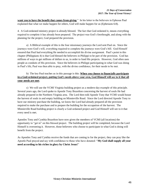**want you to have the benefit that comes from giving**." In his letter to the believers in Ephesus Paul explained that what we make happen for others, God will make happen for us (Ephesians 6:8).

4. A God-ordained ministry project is already blessed. The fact that God ordained it, means everything required to complete it has already been prepared. The project was God's forethought, and along with the planning for the project, God prepared the provision.

a) A Biblical example of this is the four missionary journeys the Lord sent Paul on. Since the journeys were God's will, everything required to complete the journeys were God's bill. God Himself ensured that Paul had everything He needed to accomplish his divine assignment. Paul's point in this chapter (Philippians 4) is that God blessed the believers in Philippi to be part of the provision. God has millions of ways to get millions of dollars to us, in order to fund His projects. However, God often uses people as conduits of His provision. Since the believers in Philippi participating in what God was doing in Paul's life, Paul was then able to pray, with the divine confidence, for their needs to be met.

# b) The key Paul teaches us in this passage is this: **When you choose to financially participate in a God-ordained project, putting God's needs above your own, God Himself will see to it that all your needs are met**.

c) We will use the VCMI Virginia building project as a modern-day example of this principle. Several years ago, the Lord spoke to Apostle Tony Brazelton concerning the harvest of souls He had already prepared in the Northern Virginia area. The Lord then told Apostle Tony that VCMI would house the harvest of souls in and empty building on Minnieville Road. Since the Lord directed Apostle Tony to have our ministry purchase the building, we know the Lord had already prepared all the provision required to make the purchase and to prepare the building for the occupation of the harvest. The Minnieville Road building project is clearly a God-ordained project and God Himself will see to it that every need is met.

Apostles Tony and Cynthia Brazelton have now given the members of VCMI (all locations) the opportunity to "get in" on this blessed project. The building project will be completed, because the Lord Himself is overseeing it. However, those believers who choose to participate in what God is doing will benefit from the project.

As Apostles Tony and Cynthia receive the funds that are coming in for the project, they can pray like the Apostle Paul prayed and say with confidence to those who have donated: "**My God shall supply all your need according to his riches in glory by Christ Jesus!**"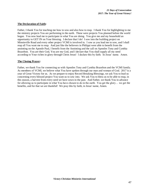#### **The Declaration of Faith:**

Father, I thank You for teaching me how to sow and also how to reap. I thank You for highlighting to me the ministry projects You are performing in the earth. These were projects You planned before the world began. You now lead me to participate in what You are doing. You give me and my household an opportunity to GET IN on Your blessing. I declare that I do! I sow into the building project on Minnieville Road and every other project VCMI is involved in. I sow as you lead me to sow, and I shall reap all You want me to reap. And just like the believers in Philippi were able to benefit from the anointing on the Apostle Paul, I benefit from the Anointing and the call on Apostles Tony and Cynthia Brazelton. You are their God, You are my God, and I declare that You shall supply all my need according to Your riches in glory through Christ Jesus! I declare this by faith. In Jesus' name. Amen.

### **The Closing Prayer:**

Father, we thank You for connecting us with Apostles Tony and Cynthia Brazelton and the VCMI family. As members of VCMI, we believe what You have spoken through our man and woman of God. 2017 is a year of Great Victory for us. As we prepare to enjoy Record Breaking Blessings, we ask You to lead us concerning every blessed project You want us to sow into. We ask You to bless us to be able to reap, in this season, a harvest from every seed we have sown in the past. And Father, we thank You in advance for allowing us to participate in what You have chosen to do in the earth. You get the glory… we get the benefits, and for that we are thankful! We pray this by faith, in Jesus' name, Amen.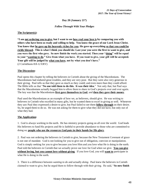# **Day 20 (January 21st)**

# *Follow Through With Your Pledges*

#### **The Scripture(s):**

**"I am not ordering you to give, but I want to see how real your love is by comparing you with others who have been so ready and willing to help. You know the grace of our Lord Jesus Christ. You know that he gave up his heavenly riches for you. He gave up everything so that you could be richly blessed. This is what I think you should do: Last year you were the first to want to give, and you were the first who gave. So now finish the work you started. Then your "doing" will be equal to your "wanting to do." Give from what you have. If you want to give, your gift will be accepted. Your gift will be judged by what you have, not by what you don't have."** (2 Corinthians 8:8-12 ERV)

### **The Discussion:**

Paul opens this chapter by telling the believers in Corinth about the giving of the Macedonians. The Macedonians had endured great troubles, and they are very poor. But they were also very generous in their giving. Paul tells us that they gave as much as they could; and even more than they could afford. The Bible tells us that "**No one told them to do this. It was their idea**." Not only that, but Paul says that the Macedonians actually begged him to allow them to share in God's projects over and over again. The key was that the Macedonians **first gave themselves to God**, and **then they gave their money**.

Paul used the Macedonians as an example of how we, as believers, should give. He was writing to believers in Corinth who excelled in many gifts, but he wanted them to excel in giving as well. Whenever they saw Paul they expressed a desire to give, but Paul failed to see them **follow through** on their desire. So, he urged them to do so. He was not asking for them to give what they did not have, but only out of what they had.

# **The Application:**

1. God is always working in the earth. He has ministry projects going on all over the world. God leads His believers to fund His projects and He is faithful to provide abundance to those who are committed to doing so; **people who use the resources God puts in their hands for His glory**.

2. Paul was not ordering the believers in Corinth to give, because the New Testament Covenant of grace is not one of mandate. God is not looking for you to give out of obligation, coercion or manipulation. God is simply seeking for you to give because you love Him and you love what He is doing in the earth. Paul told the believers in Corinth that we actually prove our love for God when we give. **You can give without loving, but you cannot love without giving**. If you love God, you will **want to** participate in what He is doing in the earth.

3. There is a difference between *wanting to do* and actually *doing*. Paul knew the believers in Corinth claimed to want to give, but he urged them to follow through with their giving. He said, "**So now finish**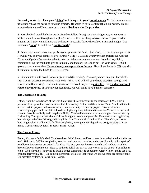**the work you started. Then your "doing" will be equal to your "wanting to do.""** God does not want us to simply have the desire to fund His projects. He wants us to follow through on our desires. He will provide the funds and He expects us to simply **distribute** what He **provides**.

4. Just like Paul urged the believers in Corinth to follow through on their pledges, we, as members of VCMI, should follow through on our pledges as well. It is one thing to have a desire to give a certain amount, but it takes commitment and dedication to actually follow through on a financial pledge. God wants our "**doing**" to match our "**wanting to do**".

5. Don't take on any pressure to perform or to generate the funds. Seek God, ask Him to show you what He wants you and your family to give towards VCMI, TCBM and whatever other projects our Apostles (Tony and Cynthia Brazelton) are led to take on. Whatever number you hear from the Holy Spirit, commit to being the conduit to give the amount, and then believe God to put it in your hands. If God gave you the number, then **He has already made provisions for you**. He will get the funds **TO** you with the intent of getting the funds **THROUGH** you.

6. God ministers both bread (for eating) and seed (for sowing). As money comes into your household, seek God for direction concerning what to do with it. God will tell you what is bread (for eating), and what is seed (for sowing). God wants you to eat the bread, so you can **enjoy life**. But **He does not want you to eat your seed**. If you eat your seed today, you will fail to have a harvest tomorrow.

### **The Declaration of Faith:**

Father, from the foundations of the world You saw fit to connect me to the vision of VCMI. I am a partaker of the grace that is on this ministry. I follow my Pastors and they follow You. You lead them to take on certain projects and as a member, I take ownership over every project. You speak to me concerning my part and I am faithful to do it. I give my time, talent and treasure to You and to my local church. I sow bountifully and I reap bountifully. You lead me to make certain pledges. I make them by faith and by Your grace I am able to follow through on every pledge made. No matter how long it takes, You always make Your Word good in my life. I am Your child. I am like You. Therefore, no matter how long it takes, I will always fulfill every pledge, making my word good and bringing glory to Your name. I declare this by faith. In Jesus' name. Amen.

#### **The Closing Prayer:**

Father, You are a faithful God, You have been faithful to us, and You create in us a desire to be faithful as well. Help us to fulfill every pledge, to make good on every promise, and to do all we do with a spirit of excellence, because we are doing it for You. We love you, we love our church, and we love what You have called our church to do. Help us Father to fulfill our part so that we can be the church You called us to be. We believe it is Your will to build a better community, to experience Great Victory and to see lives changed forever in 2017. We come in agreement with You Father and we believe these are already done! We pray this by faith, in Jesus' name, Amen.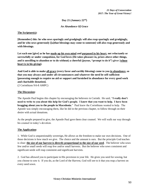**Day 21 (January 22nd)**

*An Abundance Of Grace*

### **The Scripture(s):**

**[Remember] this: he who sows sparingly and grudgingly will also reap sparingly and grudgingly, and he who sows generously [[a]that blessings may come to someone] will also reap generously and with blessings.**

**Let each one [give] as he has made up his own mind and purposed in his heart, not reluctantly or sorrowfully or under compulsion, for God loves (He takes pleasure in, prizes above other things, and is unwilling to abandon or to do without) a cheerful (joyous, "prompt to do it") giver [whose heart is in his giving].**

**And God is able to make all grace (every favor and earthly blessing) come to you in abundance, so that you may always and under all circumstances and whatever the need be self-sufficient [possessing enough to require no aid or support and furnished in abundance for every good work and charitable donation].**

(2 Corinthians 9:6-8 AMPC)

# **The Discussion:**

The Apostle Paul begins this chapter by encouraging the believers in Corinth. He said, "**I really don't need to write to you about this help for God's people. I know that you want to help. I have been bragging about you to the people in Macedonia**." Paul knew the Corinthians wanted to help. The Apostle was simply encouraging them, like he did in the previous chapter, to follow through on their desire with actual donations.

As the people prepared to give, the Apostle Paul gave them clear counsel. We will walk our way through his counsel in today's devotion.

# **The Application:**

1. While God is unquestionably sovereign, He allows us the freedom to make our own decisions. One of those decisions is how much we give. The choice and the amount is ours. But the principle God teaches is clear: **the size of our harvest is directly proportional to the size of our seed**. The believer who sows few and/or small seeds will reap few and/or small harvests. But the believer who sows consistent and significant seeds will reap consistent and significant harvests.

2. God has allowed you to participate in His provision in your life. He gives you seed for sowing, but you choose to sow it. If you do, as the Lord of the Harvest, God will see to it that you reap a harvest on every seed sown.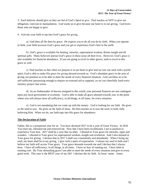3. Each believer should give as they are led of God's Spirit to give. Paul teaches us NOT to give out obligation, coercion or manipulation. God wants us to give because our heart is in our giving. God loves those who are happy to give.

4. Activate your faith to tap into God's grace for giving.

a) God does all He does by grace. He expects you to do all you do by faith. When you operate in faith, your faith accesses God's grace and you get to experience God's best in the earth.

b) God's grace is available for healing, miracles, supernatural wisdom, divine insight and all spiritual gifts. Many believers pursue God's grace in these areas all their lives. However, God's grace is also available for financial abundance. If you are going to excel in other graces, seek to excel in this grace as well.

c) Paul teaches us that when we purpose it in our heart to give and we sow our seed with a joyful spirit, God is able to make His grace for giving abound towards us. God's abundant grace in the area of giving can position us to be able to meet the needs of every financial situation. God can bless us to be self-sufficient (possessing enough to require no external aid or support), so we can cheerfully fund every ministry project that arises.

d) As an Ambassador of heaven assigned to this world, your personal finances are not contingent upon any local government or economy. God is able to make all grace abound towards you, to the point where you will always have all sufficiency, in all things, at all times, for every situation.

e) God is not mandating that we come up with the money. God is looking for our faith. He gives us the seed to sow. He gives us the faith of Jesus. He then teaches us to sow the seed, in faith, fully believing Him. When we do, our faith taps into His grace for abundance.

#### **The Declaration of Faith:**

Father, this is a prosperous year for us. You have declared 2017 to be a year of Great Victory. In 2016 You reset me, rebooted me and renewed me. Now that I have been recalibrated, I am in position to experience Your best. 2017 shall be a year like no other. I abound in Your grace for miracles, signs and wonders. I abound in Your grace for supernatural wisdom, insight and revelation. And I also abound in Your grace for giving. I declare that in 2017 I shall sow consistently and abundantly. When I bring my seed, my heart shall be in my giving. I give with a spirit of expectation. I release my seed in faith and I believe my faith will access Your grace. Your grace abounds towards me and I declare that I always have. I have all sufficiency, in all things, at all times. I have no fear of running out. I have faith in running over. By Your abounding grace I am able to meet the needs of every situation and give to every good work. This year is the BEST year of my life! I declare this by faith. In Jesus' name. Amen.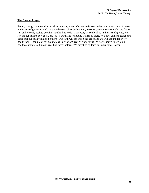#### **The Closing Prayer:**

Father, your grace abounds towards us in many areas. Our desire is to experience an abundance of grace in the area of giving as well. We humble ourselves before You, we seek your face continually, we die to self and we only seek to do what You lead us to do. This year, as You lead us in the area of giving, we release our faith to sow as we are led. Your grace to abound is already there. We now come together and agree that our faith will also be there. Our faith will tap into Your grace and we will abound for every good work. Thank You for making 2017 a year of Great Victory for us! We are excited to see Your goodness manifested in our lives like never before. We pray this by faith, in Jesus' name, Amen.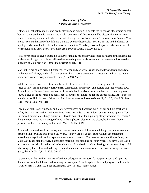# *Declaration of Faith Walking In Divine Prosperity*

Father, You set before me life and death, blessing and cursing. You told me to choose life, promising that both I and my seed would live, that we would love You, and that we would be blessed if we obey Your voice. I made my choice and I chose life and blessing, not death and cursing. I cleave unto You and You alone. You are the Lord of my life and the Lord over my household. You are my life and the length of my days. My household is blessed because we submit to You daily. We call upon no other name, nor do we recognize any other deity. You alone are our God! (Duet 30:19,20; Ex 20:3)

I will never cease to give You thanks Father for making me and my household partakers of the inheritance of the saints in light. You have delivered us from the power of darkness, and have translated us into the kingdom of Your dear Son – Jesus the Christ (Col 1:12,13)

You Father, are able to make all grace (every favor and earthly blessing) abound toward us in abundance, so that we will always, under all circumstances, have more than enough to meet our needs and to give in abundance towards every charitable work (2 Cor 9:8 AMP)

While the earth remains, seedtime and harvest will not cease. I have seed in the ground. I have sown seeds of love, peace, harmony, forgiveness, compassion, and money; and declare that I reap what I sow. As the Lord of Harvest I trust that You will see to it that I receive a correspondent return on every seed sown. I give to the poor and You repay me. I sow into the kingdom, for the gospel's sake, and You bless me with a manifold harvest. I tithe, and I walk under an open heaven (Gen 8:22, Gal 6:7, Mat 9:38, Prov 19:17, Mark 10:30, Mal 3:10)

I seek You first, Your Kingdom, and Your righteousness and because my priorities and my heart are in order, food, clothes, shelter, and everything I need are added to me. I don't pursue things, I pursue You. But since I pursue You, things pursue me. Thank You Father for supplying all my need and for ensuring that there will never be a shortage of food in the cupboard, clothes in the closet, health in our bodies, peace in our home, or money in the bank (Mat 6:33, Phil 4:19)

As the rain comes down from the sky and does not return until it has watered the ground and caused the earth to bring forth and bud, so is Your Word. Your Word never goes forth without accomplishing everything it says it will and prospering everywhere it is sown. The grass withers, the flower fades, but Your Word shall stand forever. Father, this morning I am standing on Your Word. I believe Your Word teaches me that I should be blessed to be a blessing. I receive both Your blessing and responsibility to BE a blessing by faith. I submit to being a channel, a conduit, and an instrument of Your blessing, for Your glory, daily (Is 55:10,11; Is 40:8. Gen 12:1-3)

I thank You Father for blessing me indeed, for enlarging my territory, for keeping Your hand upon me that no evil would befall me, and for using me to expand Your Kingdom plans and purposes in the earth (1 Chron 4:10). I embrace Your blessing this day. In Jesus' name. Amen!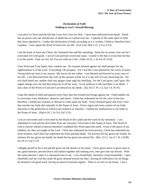# *Declaration of Faith Walking in God's Overall Blessing*

I am alive in Christ and the life that I now live I live for Him. I have been delivered from death. Death has no power over me and the fear of death has no control over me. I operate in the same spirit of faith that Jesus operated in. I make this declaration of faith, according as it is written, I believe, therefore have I spoken. I now speak the Word of God over my life. (Gal 2:20, Heb 2:15, 2 Cor 4:13)

I am the body of Jesus the Christ, the Anointed One and His anointing. Satan has no power over me for I overcome evil with good. I am of God and have overcome satan. Greater is He that is in me than he that is in the world. I fear no evil, for You are with me Lord. (John 16:33, 1 Jn 4:4, Ps 23:4)

Your Word and Your Spirit, they comfort me. No weapon formed against me shall prosper for my righteousness is of the Lord. Everything I do prospers. For I am like a tree planted by the rivers of water. I bring forth my fruit in my season. My leaves do not wither. I am blessed and favored in every area of my life. I am delivered from the evils of this present world, for it is the will of God concerning me. No evil shall befall me; neither shall any plague come nigh thy dwelling. For the Lord gives, and I give, His angels charge over me and they keep me in all my ways. In my pathway is life and there is no death. I am a doer of the Word of God and I am blessed in my deeds. (Isa 54:17, Ps 1:3, Gal 1:4, Ps 91)

I take the shield of faith and quench every fiery dart the wicked one brings against me. Faith enables me to overcome every hindrance, obstacle, and attack. Christ has redeemed me for the curse of the law; therefore, I forbid any sickness or disease to come upon my body. Every diseased germ and every virus that touches my body dies instantly in the Name of Jesus. Every organ and every system of my body functions to the perfection to which God created it to function. I forbid any malfunction in my body in the Name of Jesus. (Eph 6:16, 1 Jn 5:4, Gal 3:13)

I am an overcomer and I overcome by the blood of the Lamb and the word of my testimony. I am submitted to God and the devil flees from me, because I resist him in the Name of Jesus. The Word of God is forever settled in heaven therefore I establish His Word upon this earth. Great is the peace of my children, for they are taught of the Lord. Christ has redeemed me from poverty, Christ has redeemed me from sickness, and Christ has redeemed me from spiritual death. For poverty He has given me wealth, for sickness He has given me health, for death He has given me eternal life. (Rev 12:11, Jas 4:7, Ps 119:89, Isa 54:13, Gal 3:13)

I delight myself in the Lord and He gives me the desires of my heart. I have given and it is given unto to me, good measure, pressed down and shaken together and running over, men give into my bosom. With the same measure I meet it is measured unto to me. I sow bountifully, therefore I reap bountifully. I give cheerfully and my God has made all grace abound toward me that I, having all sufficiency for all things do abound to all good work; having no need of external support. There is no lack in my home. I am a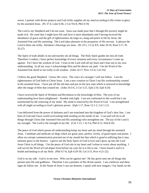sower, I partner with divine projects and God richly supplies all my need according to His riches in glory by the anointed Jesus. (Ps 37:4, Luke 6:38, 2 Cor 9:6-8, Phil 4:19)

The Lord is my Shepherd and I do not want. Jesus was made poor that I through His poverty might be made rich. He came that I might have life and have it more abundantly and I having received the abundance of grace and the gift of righteousness do reign as a king and priest in life by Jesus, the Anointed One and His anointing. The Lord takes pleasure in the prosperity of His servant. It pleases the Lord to bless me richly. Abraham's blessings are mine. (Ps 23:1, 2 Cor 8:9, John 10:10, Rom 5:17, Ps 35:27)

The Spirit of truth abides in me and teaches me all things. The Holy Spirit guides me into all truth. Therefore I confess, I have perfect knowledge of every situation and every circumstance I come up against. For I have the wisdom of God. I trust in the Lord with all my heart and I lean not to my own understanding. In all my ways I acknowledge Him and He directs my path. I let the Word of the Anointed One dwell in me richly in all wisdom. (John 14:17, Prov 3:5-6, Col 3:6)

I follow the good Shepherd. I know His voice. The voice of a stranger I will not follow. I am the righteousness of God faith in Christ Jesus. I am a new creation in Christ I am His workmanship created in the anointed Jesus. I have put off the old man and put on the new man which is renewed in knowledge after the image of Him that created me. (John 10:3-6, 2 Cor 5:21, Eph 2:10, Eph 4:24)

I have received the Spirit of Wisdom and Revelation in the knowledge of Him. The eyes of my understanding have been enlightened – flooded with light. I am not conformed to this world but I am transformed by the renewing of my mind. My mind is renewed by the Word of God. I am strengthened with all might according to God's glorious power. (Eph  $1:17$ , Rom  $12:1-2$ , Col  $1:11$ )

I am delivered from the power of darkness and I am translated into the kingdom of God's dear Son. I am born of God and I have world overcoming faith residing on the inside of me. I can and will do in all things through Christ (the Anointed One and His anointing) who strengthens me. The joy of the Lord is my strength. The Lord is the strength of my life. (Col 1:13, 1 Jn 5:4, Phil 4:13, Neh 8:10)

The peace of God which passes all understanding keeps my heart and my mind through the anointed Jesus. I meditate and medicate on thigs which are good, pure, perfect, lovely, of good report and praise. I allow no corrupt communication proceed out of my mouth but that which is good to edifying that it may minister grace to the hearers. I grieve not the Holy Spirit of God in love and I grow up into the Lord Jesus Christ in all things. I let the peace of God rule in my heart and I refuse to worry about anything. I will not let the Word of God depart from before my eyes for it is life to me. I have found it and it is health and healing to all my flesh. (Phil 4:7-8, Eph 4:29-30, Col 3:15, Prov 4:21-22).

God is on my side. God is in me now. Who can be against me? He has given unto me all things that pertain unto life and godliness. Therefore I am a partaker of His divine nature. I am a believer and these signs do follow me. In the Name of Jesus I cast out demons, I speak with new tongues, I lay hands on the